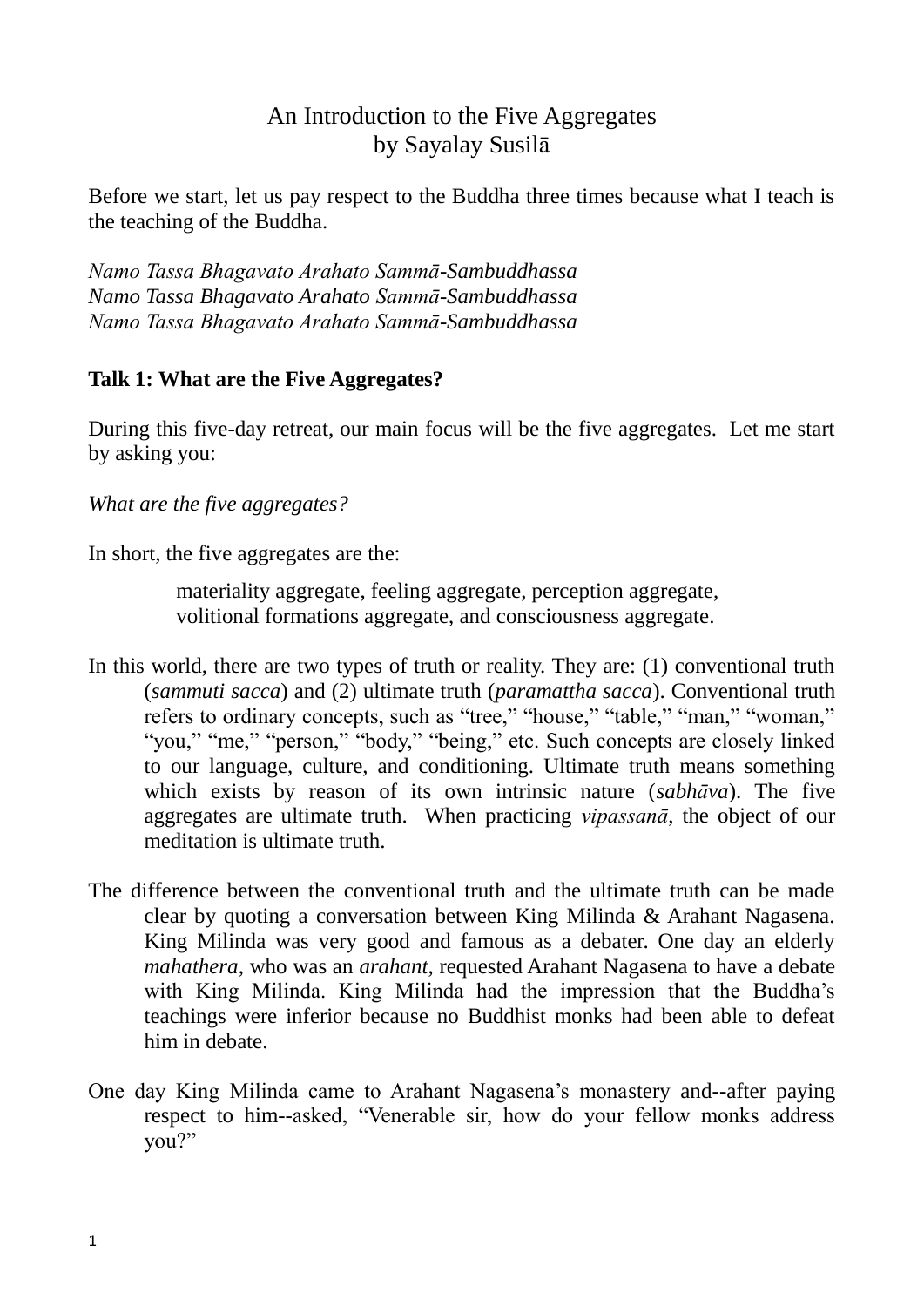# An Introduction to the Five Aggregates by Sayalay Susilā

Before we start, let us pay respect to the Buddha three times because what I teach is the teaching of the Buddha.

*Namo Tassa Bhagavato Arahato Sammā-Sambuddhassa Namo Tassa Bhagavato Arahato Sammā-Sambuddhassa Namo Tassa Bhagavato Arahato Sammā-Sambuddhassa*

## **Talk 1: What are the Five Aggregates?**

During this five-day retreat, our main focus will be the five aggregates. Let me start by asking you:

## *What are the five aggregates?*

In short, the five aggregates are the:

materiality aggregate, feeling aggregate, perception aggregate, volitional formations aggregate, and consciousness aggregate.

- In this world, there are two types of truth or reality. They are: (1) conventional truth (*sammuti sacca*) and (2) ultimate truth (*paramattha sacca*). Conventional truth refers to ordinary concepts, such as "tree," "house," "table," "man," "woman," "you," "me," "person," "body," "being," etc. Such concepts are closely linked to our language, culture, and conditioning. Ultimate truth means something which exists by reason of its own intrinsic nature (*sabhāva*). The five aggregates are ultimate truth. When practicing *vipassanā*, the object of our meditation is ultimate truth.
- The difference between the conventional truth and the ultimate truth can be made clear by quoting a conversation between King Milinda & Arahant Nagasena. King Milinda was very good and famous as a debater. One day an elderly *mahathera*, who was an *arahant*, requested Arahant Nagasena to have a debate with King Milinda. King Milinda had the impression that the Buddha's teachings were inferior because no Buddhist monks had been able to defeat him in debate.
- One day King Milinda came to Arahant Nagasena"s monastery and--after paying respect to him--asked, "Venerable sir, how do your fellow monks address you?"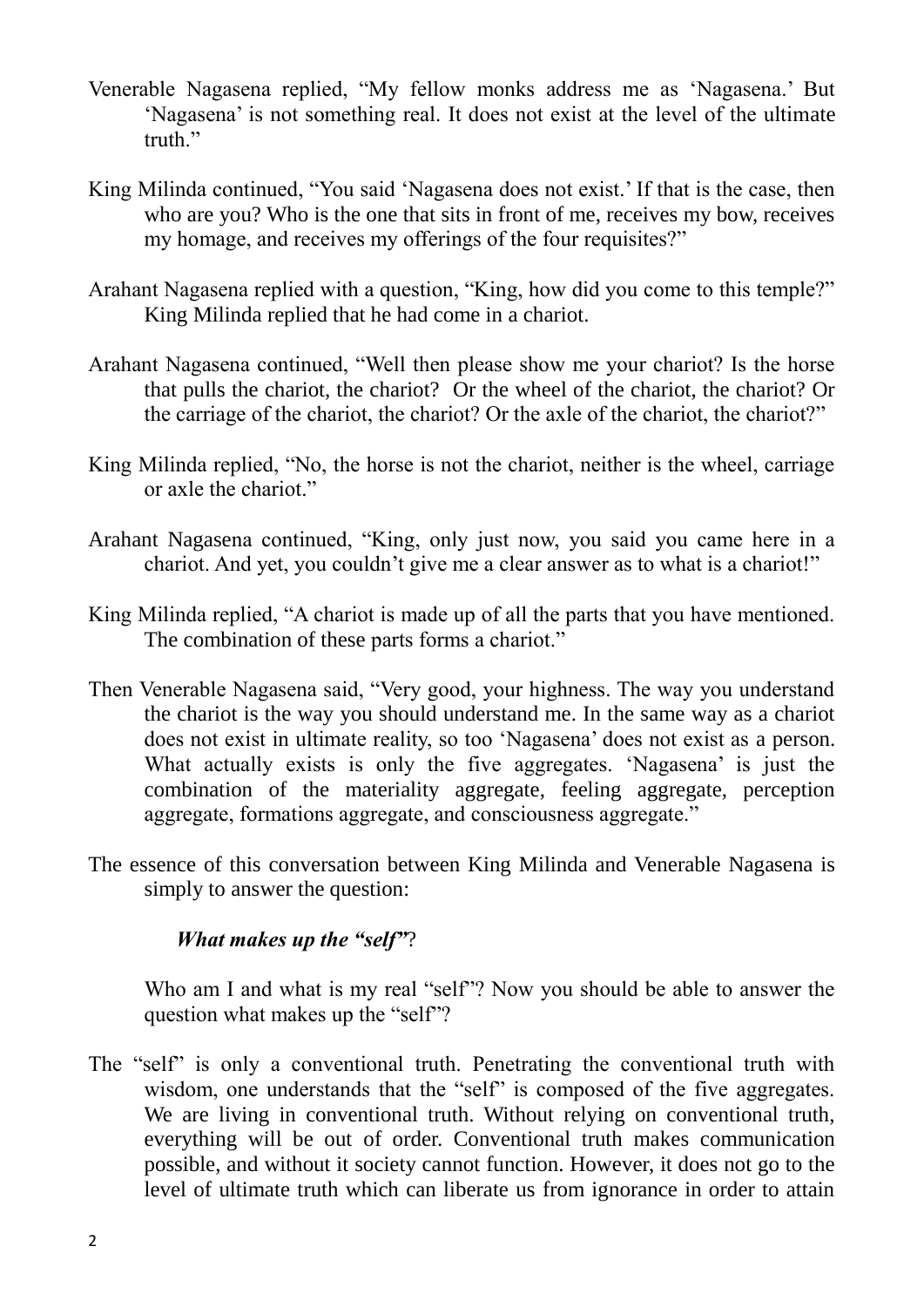- Venerable Nagasena replied, "My fellow monks address me as "Nagasena." But "Nagasena" is not something real. It does not exist at the level of the ultimate truth."
- King Milinda continued, "You said 'Nagasena does not exist.' If that is the case, then who are you? Who is the one that sits in front of me, receives my bow, receives my homage, and receives my offerings of the four requisites?"
- Arahant Nagasena replied with a question, "King, how did you come to this temple?" King Milinda replied that he had come in a chariot.
- Arahant Nagasena continued, "Well then please show me your chariot? Is the horse that pulls the chariot, the chariot? Or the wheel of the chariot, the chariot? Or the carriage of the chariot, the chariot? Or the axle of the chariot, the chariot?"
- King Milinda replied, "No, the horse is not the chariot, neither is the wheel, carriage or axle the chariot."
- Arahant Nagasena continued, "King, only just now, you said you came here in a chariot. And yet, you couldn"t give me a clear answer as to what is a chariot!"
- King Milinda replied, "A chariot is made up of all the parts that you have mentioned. The combination of these parts forms a chariot."
- Then Venerable Nagasena said, "Very good, your highness. The way you understand the chariot is the way you should understand me. In the same way as a chariot does not exist in ultimate reality, so too "Nagasena" does not exist as a person. What actually exists is only the five aggregates. 'Nagasena' is just the combination of the materiality aggregate, feeling aggregate, perception aggregate, formations aggregate, and consciousness aggregate."
- The essence of this conversation between King Milinda and Venerable Nagasena is simply to answer the question:

## *What makes up the "self"*?

Who am I and what is my real "self"? Now you should be able to answer the question what makes up the "self"?

The "self" is only a conventional truth. Penetrating the conventional truth with wisdom, one understands that the "self" is composed of the five aggregates. We are living in conventional truth. Without relying on conventional truth, everything will be out of order. Conventional truth makes communication possible, and without it society cannot function. However, it does not go to the level of ultimate truth which can liberate us from ignorance in order to attain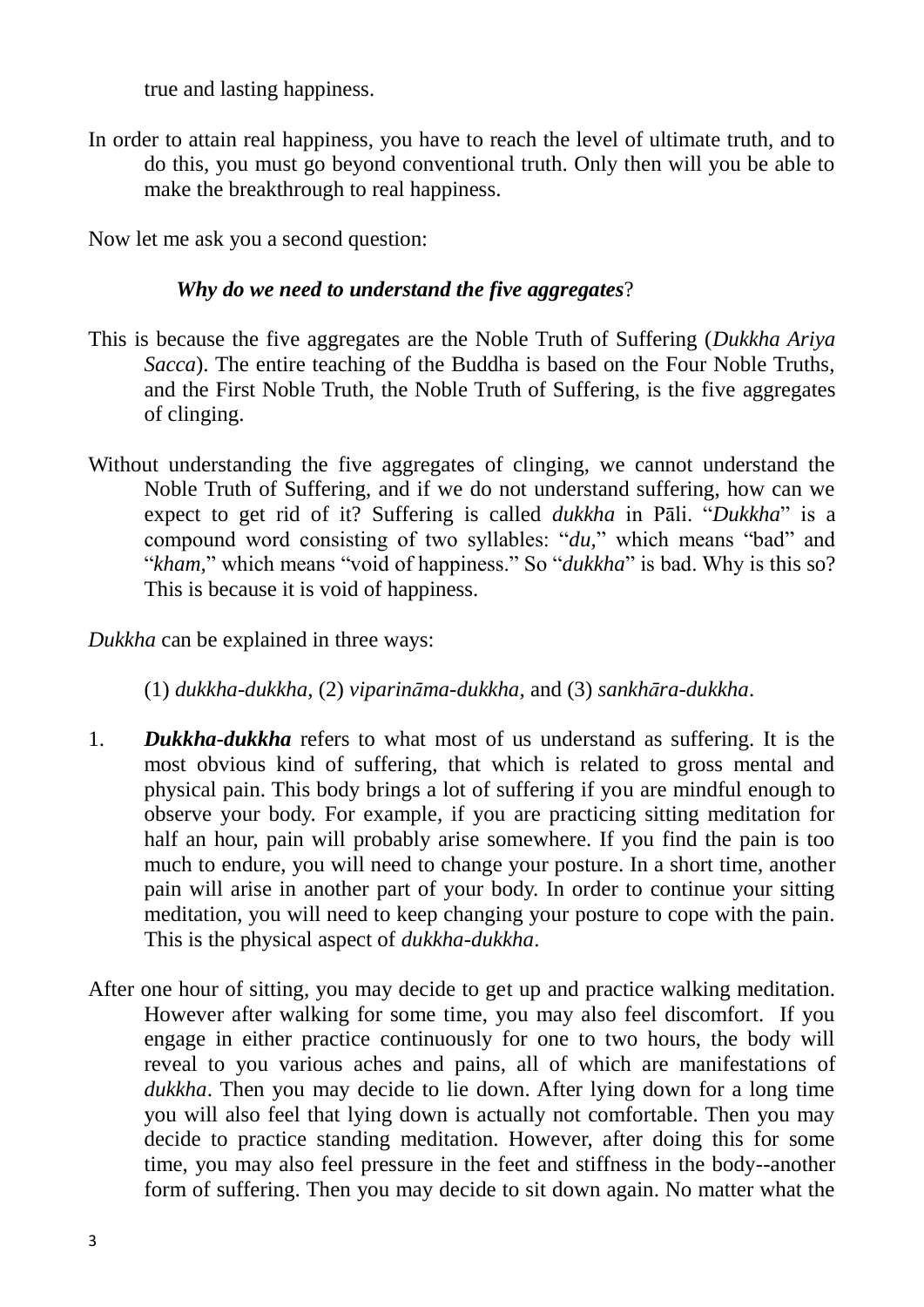true and lasting happiness.

In order to attain real happiness, you have to reach the level of ultimate truth, and to do this, you must go beyond conventional truth. Only then will you be able to make the breakthrough to real happiness.

Now let me ask you a second question:

## *Why do we need to understand the five aggregates*?

- This is because the five aggregates are the Noble Truth of Suffering (*Dukkha Ariya Sacca*). The entire teaching of the Buddha is based on the Four Noble Truths, and the First Noble Truth, the Noble Truth of Suffering, is the five aggregates of clinging.
- Without understanding the five aggregates of clinging, we cannot understand the Noble Truth of Suffering, and if we do not understand suffering, how can we expect to get rid of it? Suffering is called *dukkha* in Pāli. "*Dukkha*" is a compound word consisting of two syllables: "*du,*" which means "bad" and "*kham*," which means "void of happiness." So "*dukkha*" is bad. Why is this so? This is because it is void of happiness.

*Dukkha* can be explained in three ways:

(1) *dukkha-dukkha*, (2) *viparināma-dukkha,* and (3) *sankhāra-dukkha*.

- 1. *Dukkha-dukkha* refers to what most of us understand as suffering. It is the most obvious kind of suffering, that which is related to gross mental and physical pain. This body brings a lot of suffering if you are mindful enough to observe your body. For example, if you are practicing sitting meditation for half an hour, pain will probably arise somewhere. If you find the pain is too much to endure, you will need to change your posture. In a short time, another pain will arise in another part of your body. In order to continue your sitting meditation, you will need to keep changing your posture to cope with the pain. This is the physical aspect of *dukkha-dukkha*.
- After one hour of sitting, you may decide to get up and practice walking meditation. However after walking for some time, you may also feel discomfort. If you engage in either practice continuously for one to two hours, the body will reveal to you various aches and pains, all of which are manifestations of *dukkha*. Then you may decide to lie down. After lying down for a long time you will also feel that lying down is actually not comfortable. Then you may decide to practice standing meditation. However, after doing this for some time, you may also feel pressure in the feet and stiffness in the body--another form of suffering. Then you may decide to sit down again. No matter what the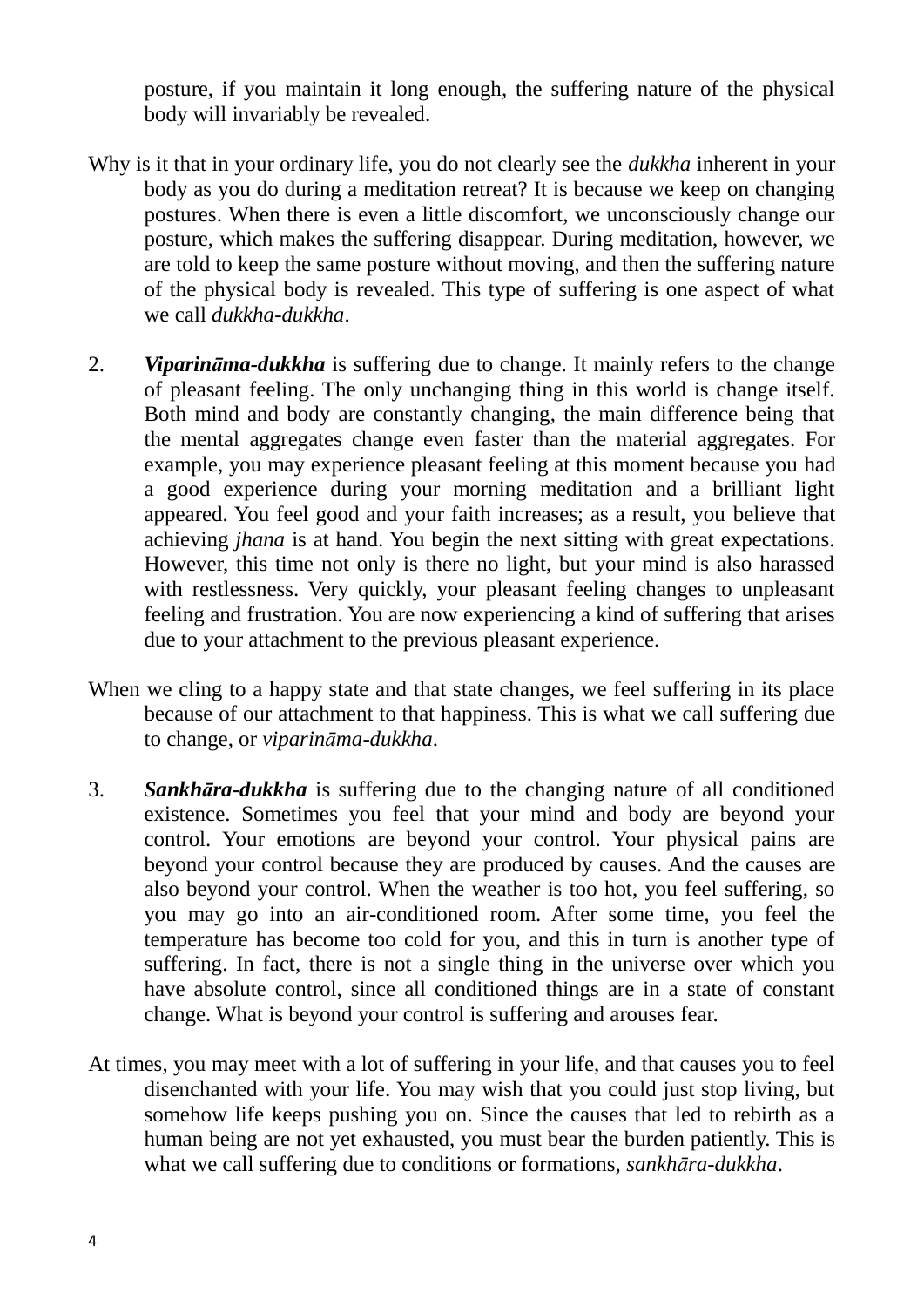posture, if you maintain it long enough, the suffering nature of the physical body will invariably be revealed.

- Why is it that in your ordinary life, you do not clearly see the *dukkha* inherent in your body as you do during a meditation retreat? It is because we keep on changing postures. When there is even a little discomfort, we unconsciously change our posture, which makes the suffering disappear. During meditation, however, we are told to keep the same posture without moving, and then the suffering nature of the physical body is revealed. This type of suffering is one aspect of what we call *dukkha-dukkha*.
- 2. *Viparināma-dukkha* is suffering due to change. It mainly refers to the change of pleasant feeling. The only unchanging thing in this world is change itself. Both mind and body are constantly changing, the main difference being that the mental aggregates change even faster than the material aggregates. For example, you may experience pleasant feeling at this moment because you had a good experience during your morning meditation and a brilliant light appeared. You feel good and your faith increases; as a result, you believe that achieving *jhana* is at hand. You begin the next sitting with great expectations. However, this time not only is there no light, but your mind is also harassed with restlessness. Very quickly, your pleasant feeling changes to unpleasant feeling and frustration. You are now experiencing a kind of suffering that arises due to your attachment to the previous pleasant experience.
- When we cling to a happy state and that state changes, we feel suffering in its place because of our attachment to that happiness. This is what we call suffering due to change, or *viparināma-dukkha*.
- 3. *Sankhāra-dukkha* is suffering due to the changing nature of all conditioned existence. Sometimes you feel that your mind and body are beyond your control. Your emotions are beyond your control. Your physical pains are beyond your control because they are produced by causes. And the causes are also beyond your control. When the weather is too hot, you feel suffering, so you may go into an air-conditioned room. After some time, you feel the temperature has become too cold for you, and this in turn is another type of suffering. In fact, there is not a single thing in the universe over which you have absolute control, since all conditioned things are in a state of constant change. What is beyond your control is suffering and arouses fear.
- At times, you may meet with a lot of suffering in your life, and that causes you to feel disenchanted with your life. You may wish that you could just stop living, but somehow life keeps pushing you on. Since the causes that led to rebirth as a human being are not yet exhausted, you must bear the burden patiently. This is what we call suffering due to conditions or formations, *sankhāra-dukkha*.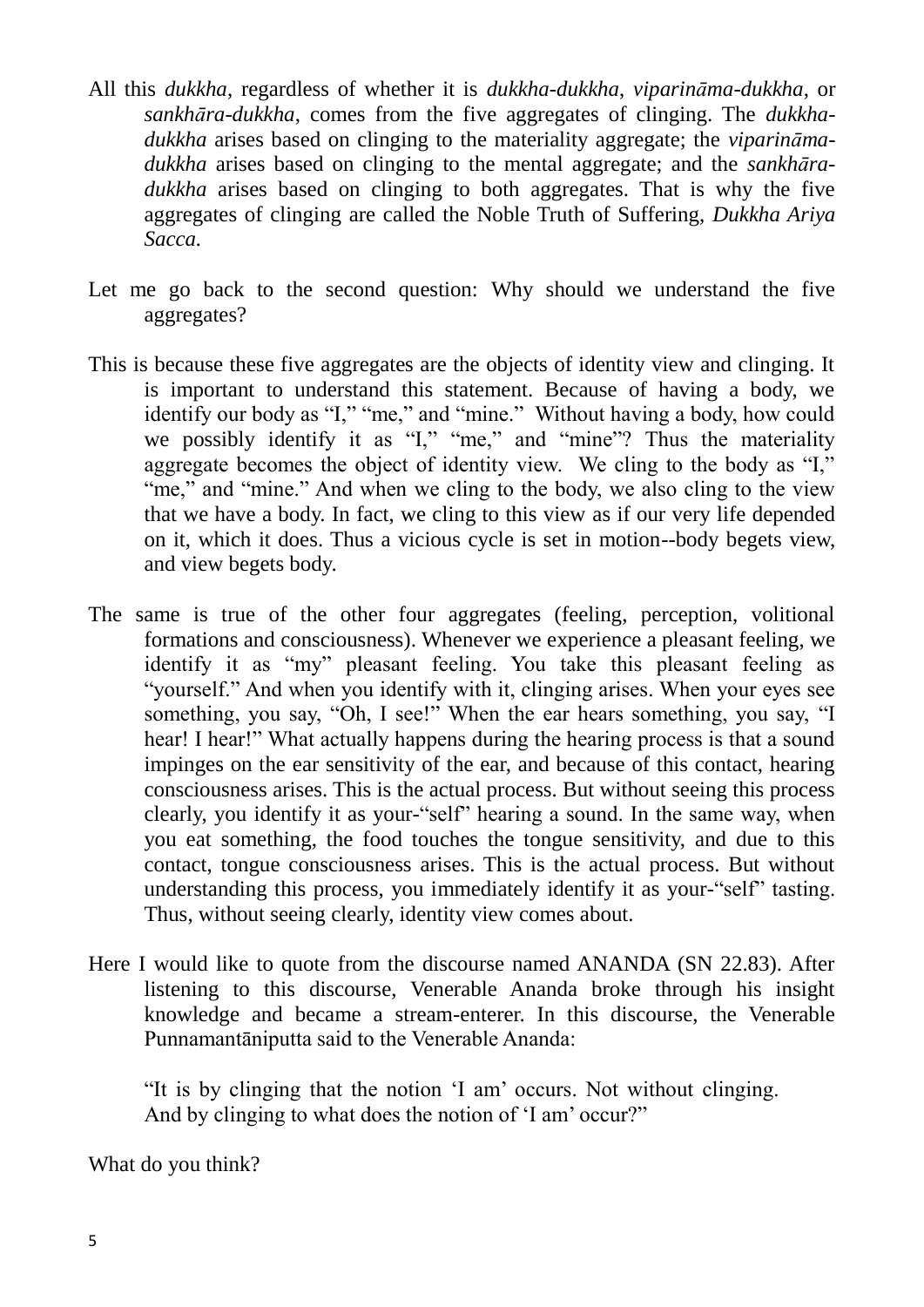- All this *dukkha*, regardless of whether it is *dukkha-dukkha*, *viparināma-dukkha*, or *sankhāra-dukkha*, comes from the five aggregates of clinging. The *dukkhadukkha* arises based on clinging to the materiality aggregate; the *viparināmadukkha* arises based on clinging to the mental aggregate; and the *sankhāradukkha* arises based on clinging to both aggregates. That is why the five aggregates of clinging are called the Noble Truth of Suffering, *Dukkha Ariya Sacca.*
- Let me go back to the second question: Why should we understand the five aggregates?
- This is because these five aggregates are the objects of identity view and clinging. It is important to understand this statement. Because of having a body, we identify our body as "I," "me," and "mine." Without having a body, how could we possibly identify it as "I," "me," and "mine"? Thus the materiality aggregate becomes the object of identity view. We cling to the body as "I," "me," and "mine." And when we cling to the body, we also cling to the view that we have a body. In fact, we cling to this view as if our very life depended on it, which it does. Thus a vicious cycle is set in motion--body begets view, and view begets body.
- The same is true of the other four aggregates (feeling, perception, volitional formations and consciousness). Whenever we experience a pleasant feeling, we identify it as "my" pleasant feeling. You take this pleasant feeling as "yourself." And when you identify with it, clinging arises. When your eyes see something, you say, "Oh, I see!" When the ear hears something, you say, "I hear! I hear!" What actually happens during the hearing process is that a sound impinges on the ear sensitivity of the ear, and because of this contact, hearing consciousness arises. This is the actual process. But without seeing this process clearly, you identify it as your-"self" hearing a sound. In the same way, when you eat something, the food touches the tongue sensitivity, and due to this contact, tongue consciousness arises. This is the actual process. But without understanding this process, you immediately identify it as your-"self" tasting. Thus, without seeing clearly, identity view comes about.
- Here I would like to quote from the discourse named ANANDA (SN 22.83). After listening to this discourse, Venerable Ananda broke through his insight knowledge and became a stream-enterer. In this discourse, the Venerable Punnamantāniputta said to the Venerable Ananda:

"It is by clinging that the notion "I am" occurs. Not without clinging. And by clinging to what does the notion of 'I am' occur?"

What do you think?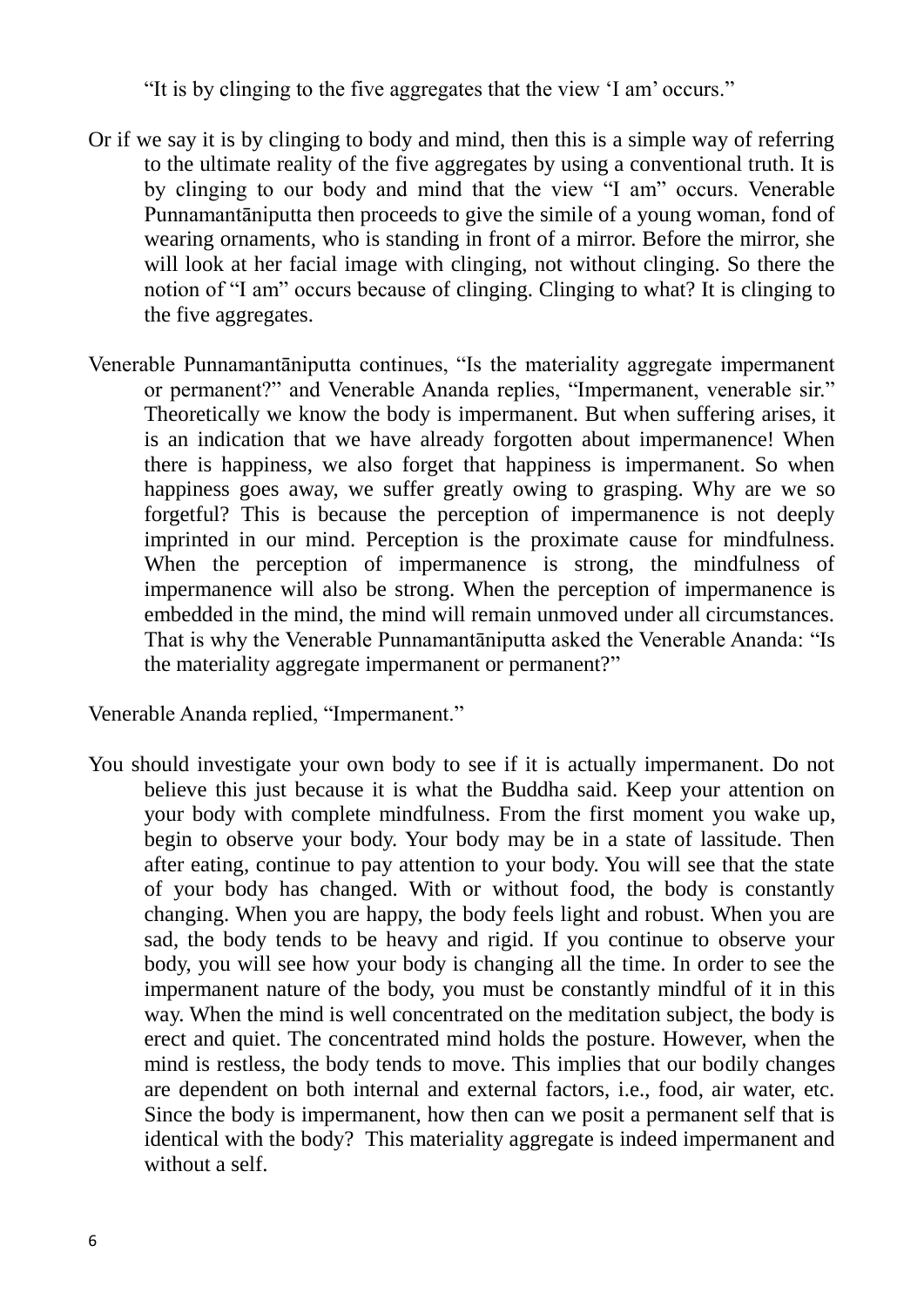"It is by clinging to the five aggregates that the view "I am" occurs."

- Or if we say it is by clinging to body and mind, then this is a simple way of referring to the ultimate reality of the five aggregates by using a conventional truth. It is by clinging to our body and mind that the view "I am" occurs. Venerable Punnamantāniputta then proceeds to give the simile of a young woman, fond of wearing ornaments, who is standing in front of a mirror. Before the mirror, she will look at her facial image with clinging, not without clinging. So there the notion of "I am" occurs because of clinging. Clinging to what? It is clinging to the five aggregates.
- Venerable Punnamantāniputta continues, "Is the materiality aggregate impermanent or permanent?" and Venerable Ananda replies, "Impermanent, venerable sir." Theoretically we know the body is impermanent. But when suffering arises, it is an indication that we have already forgotten about impermanence! When there is happiness, we also forget that happiness is impermanent. So when happiness goes away, we suffer greatly owing to grasping. Why are we so forgetful? This is because the perception of impermanence is not deeply imprinted in our mind. Perception is the proximate cause for mindfulness. When the perception of impermanence is strong, the mindfulness of impermanence will also be strong. When the perception of impermanence is embedded in the mind, the mind will remain unmoved under all circumstances. That is why the Venerable Punnamantāniputta asked the Venerable Ananda: "Is the materiality aggregate impermanent or permanent?"

Venerable Ananda replied, "Impermanent."

You should investigate your own body to see if it is actually impermanent. Do not believe this just because it is what the Buddha said. Keep your attention on your body with complete mindfulness. From the first moment you wake up, begin to observe your body. Your body may be in a state of lassitude. Then after eating, continue to pay attention to your body. You will see that the state of your body has changed. With or without food, the body is constantly changing. When you are happy, the body feels light and robust. When you are sad, the body tends to be heavy and rigid. If you continue to observe your body, you will see how your body is changing all the time. In order to see the impermanent nature of the body, you must be constantly mindful of it in this way. When the mind is well concentrated on the meditation subject, the body is erect and quiet. The concentrated mind holds the posture. However, when the mind is restless, the body tends to move. This implies that our bodily changes are dependent on both internal and external factors, i.e., food, air water, etc. Since the body is impermanent, how then can we posit a permanent self that is identical with the body? This materiality aggregate is indeed impermanent and without a self.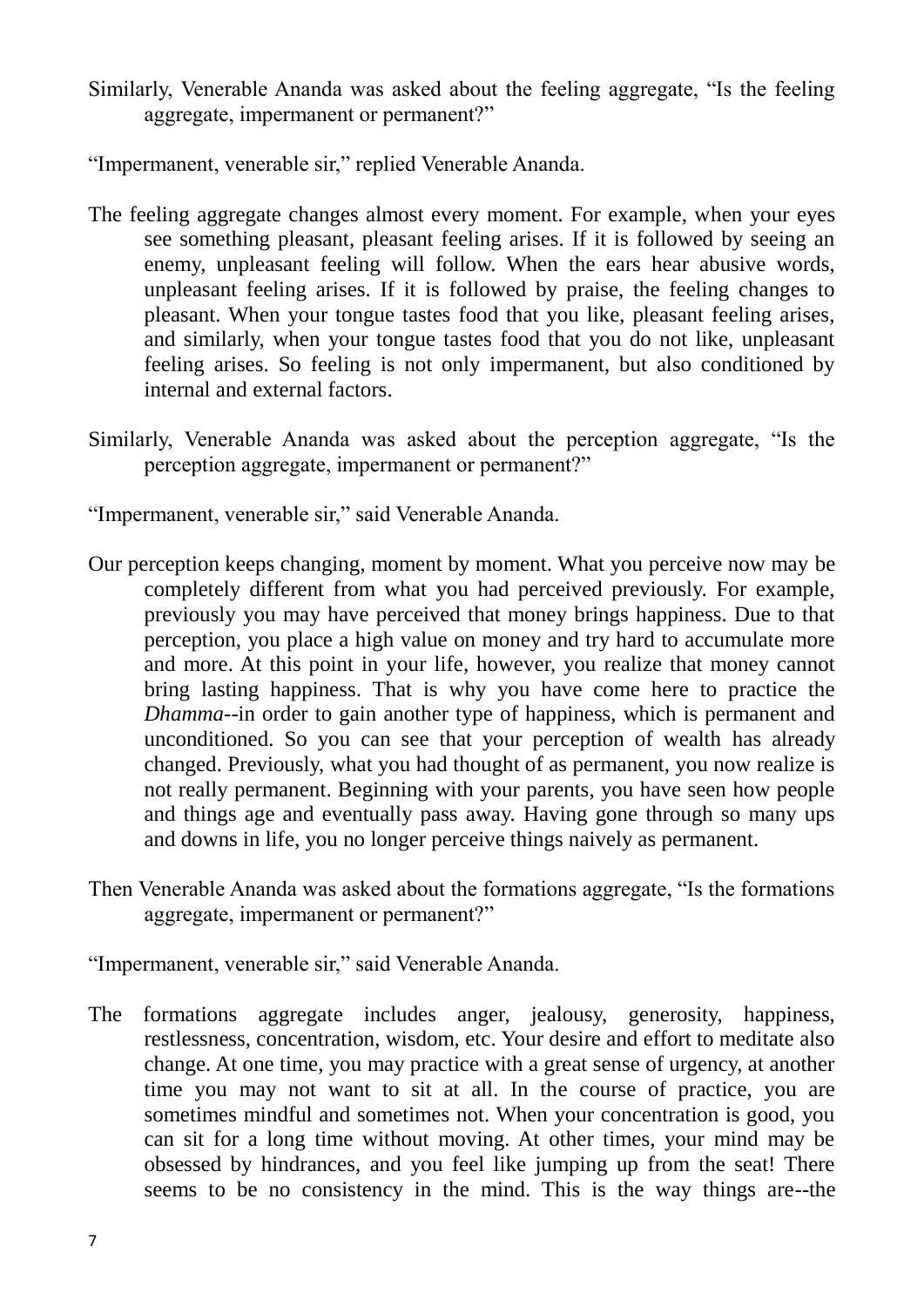Similarly, Venerable Ananda was asked about the feeling aggregate, "Is the feeling aggregate, impermanent or permanent?"

"Impermanent, venerable sir," replied Venerable Ananda.

- The feeling aggregate changes almost every moment. For example, when your eyes see something pleasant, pleasant feeling arises. If it is followed by seeing an enemy, unpleasant feeling will follow. When the ears hear abusive words, unpleasant feeling arises. If it is followed by praise, the feeling changes to pleasant. When your tongue tastes food that you like, pleasant feeling arises, and similarly, when your tongue tastes food that you do not like, unpleasant feeling arises. So feeling is not only impermanent, but also conditioned by internal and external factors.
- Similarly, Venerable Ananda was asked about the perception aggregate, "Is the perception aggregate, impermanent or permanent?"

"Impermanent, venerable sir," said Venerable Ananda.

- Our perception keeps changing, moment by moment. What you perceive now may be completely different from what you had perceived previously. For example, previously you may have perceived that money brings happiness. Due to that perception, you place a high value on money and try hard to accumulate more and more. At this point in your life, however, you realize that money cannot bring lasting happiness. That is why you have come here to practice the *Dhamma*--in order to gain another type of happiness, which is permanent and unconditioned. So you can see that your perception of wealth has already changed. Previously, what you had thought of as permanent, you now realize is not really permanent. Beginning with your parents, you have seen how people and things age and eventually pass away. Having gone through so many ups and downs in life, you no longer perceive things naively as permanent.
- Then Venerable Ananda was asked about the formations aggregate, "Is the formations aggregate, impermanent or permanent?"

"Impermanent, venerable sir," said Venerable Ananda.

The formations aggregate includes anger, jealousy, generosity, happiness, restlessness, concentration, wisdom, etc. Your desire and effort to meditate also change. At one time, you may practice with a great sense of urgency, at another time you may not want to sit at all. In the course of practice, you are sometimes mindful and sometimes not. When your concentration is good, you can sit for a long time without moving. At other times, your mind may be obsessed by hindrances, and you feel like jumping up from the seat! There seems to be no consistency in the mind. This is the way things are--the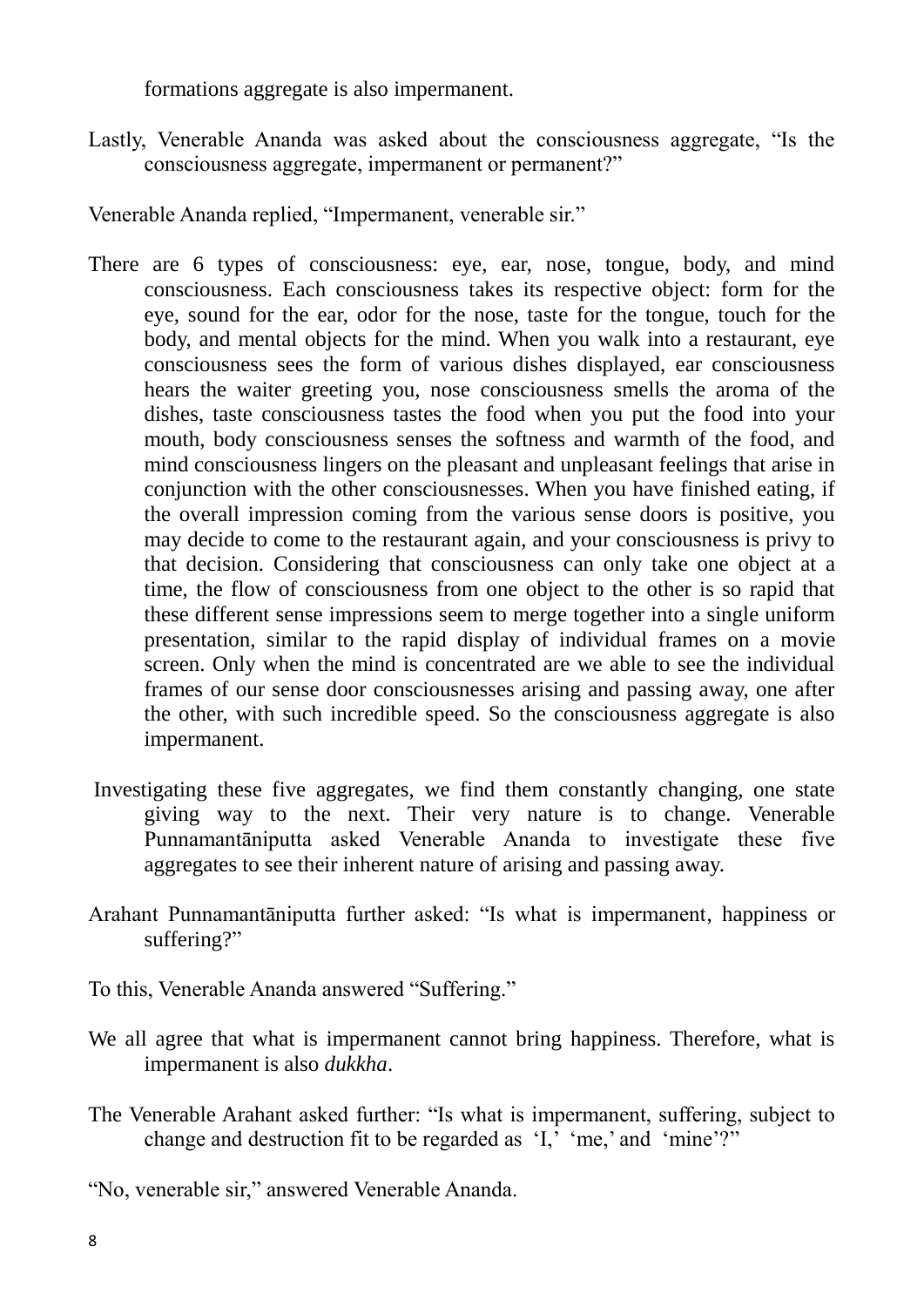formations aggregate is also impermanent.

Lastly, Venerable Ananda was asked about the consciousness aggregate, "Is the consciousness aggregate, impermanent or permanent?"

Venerable Ananda replied, "Impermanent, venerable sir."

- There are 6 types of consciousness: eye, ear, nose, tongue, body, and mind consciousness. Each consciousness takes its respective object: form for the eye, sound for the ear, odor for the nose, taste for the tongue, touch for the body, and mental objects for the mind. When you walk into a restaurant, eye consciousness sees the form of various dishes displayed, ear consciousness hears the waiter greeting you, nose consciousness smells the aroma of the dishes, taste consciousness tastes the food when you put the food into your mouth, body consciousness senses the softness and warmth of the food, and mind consciousness lingers on the pleasant and unpleasant feelings that arise in conjunction with the other consciousnesses. When you have finished eating, if the overall impression coming from the various sense doors is positive, you may decide to come to the restaurant again, and your consciousness is privy to that decision. Considering that consciousness can only take one object at a time, the flow of consciousness from one object to the other is so rapid that these different sense impressions seem to merge together into a single uniform presentation, similar to the rapid display of individual frames on a movie screen. Only when the mind is concentrated are we able to see the individual frames of our sense door consciousnesses arising and passing away, one after the other, with such incredible speed. So the consciousness aggregate is also impermanent.
- Investigating these five aggregates, we find them constantly changing, one state giving way to the next. Their very nature is to change. Venerable Punnamantāniputta asked Venerable Ananda to investigate these five aggregates to see their inherent nature of arising and passing away.
- Arahant Punnamantāniputta further asked: "Is what is impermanent, happiness or suffering?"
- To this, Venerable Ananda answered "Suffering."
- We all agree that what is impermanent cannot bring happiness. Therefore, what is impermanent is also *dukkha*.
- The Venerable Arahant asked further: "Is what is impermanent, suffering, subject to change and destruction fit to be regarded as  $[I, m e]$  and "mine"?"

"No, venerable sir," answered Venerable Ananda.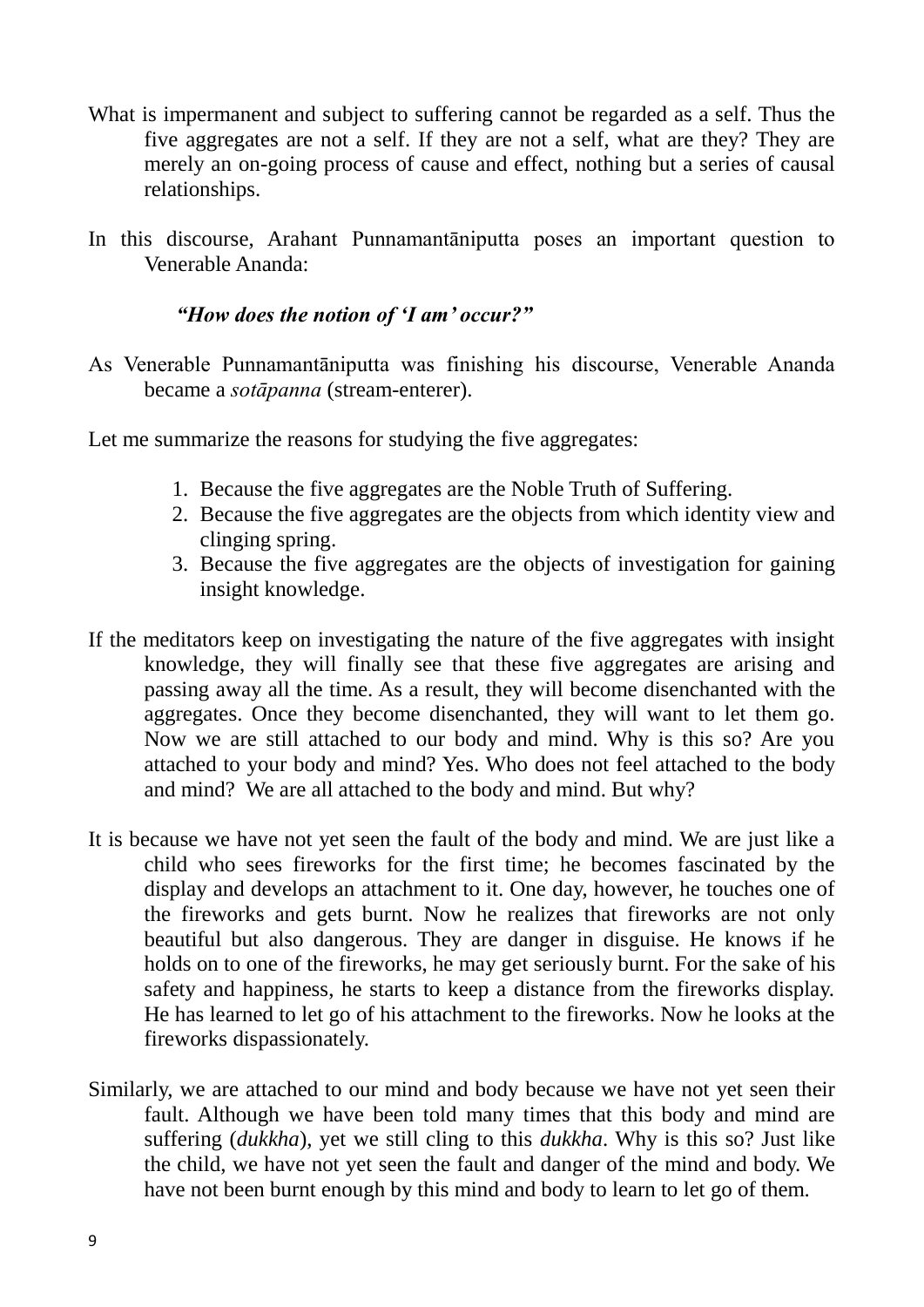- What is impermanent and subject to suffering cannot be regarded as a self. Thus the five aggregates are not a self. If they are not a self, what are they? They are merely an on-going process of cause and effect, nothing but a series of causal relationships.
- In this discourse, Arahant Punnamantāniputta poses an important question to Venerable Ananda:

## *"How does the notion of "I am" occur?"*

As Venerable Punnamantāniputta was finishing his discourse, Venerable Ananda became a *sotāpanna* (stream-enterer).

Let me summarize the reasons for studying the five aggregates:

- 1. Because the five aggregates are the Noble Truth of Suffering.
- 2. Because the five aggregates are the objects from which identity view and clinging spring.
- 3. Because the five aggregates are the objects of investigation for gaining insight knowledge.
- If the meditators keep on investigating the nature of the five aggregates with insight knowledge, they will finally see that these five aggregates are arising and passing away all the time. As a result, they will become disenchanted with the aggregates. Once they become disenchanted, they will want to let them go. Now we are still attached to our body and mind. Why is this so? Are you attached to your body and mind? Yes. Who does not feel attached to the body and mind? We are all attached to the body and mind. But why?
- It is because we have not yet seen the fault of the body and mind. We are just like a child who sees fireworks for the first time; he becomes fascinated by the display and develops an attachment to it. One day, however, he touches one of the fireworks and gets burnt. Now he realizes that fireworks are not only beautiful but also dangerous. They are danger in disguise. He knows if he holds on to one of the fireworks, he may get seriously burnt. For the sake of his safety and happiness, he starts to keep a distance from the fireworks display. He has learned to let go of his attachment to the fireworks. Now he looks at the fireworks dispassionately.
- Similarly, we are attached to our mind and body because we have not yet seen their fault. Although we have been told many times that this body and mind are suffering (*dukkha*), yet we still cling to this *dukkha*. Why is this so? Just like the child, we have not yet seen the fault and danger of the mind and body. We have not been burnt enough by this mind and body to learn to let go of them.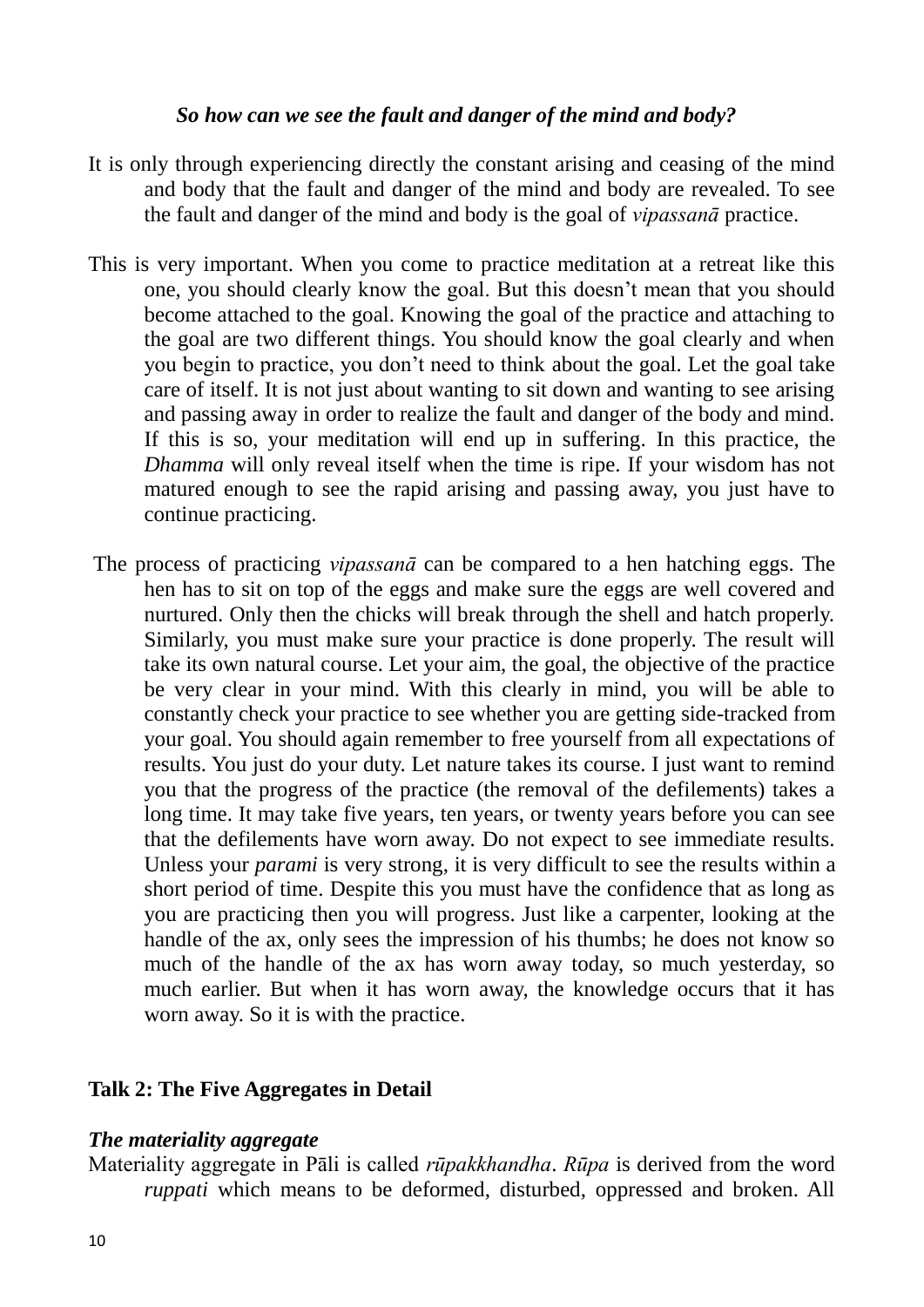### *So how can we see the fault and danger of the mind and body?*

- It is only through experiencing directly the constant arising and ceasing of the mind and body that the fault and danger of the mind and body are revealed. To see the fault and danger of the mind and body is the goal of *vipassanā* practice.
- This is very important. When you come to practice meditation at a retreat like this one, you should clearly know the goal. But this doesn"t mean that you should become attached to the goal. Knowing the goal of the practice and attaching to the goal are two different things. You should know the goal clearly and when you begin to practice, you don"t need to think about the goal. Let the goal take care of itself. It is not just about wanting to sit down and wanting to see arising and passing away in order to realize the fault and danger of the body and mind. If this is so, your meditation will end up in suffering. In this practice, the *Dhamma* will only reveal itself when the time is ripe. If your wisdom has not matured enough to see the rapid arising and passing away, you just have to continue practicing.
- The process of practicing *vipassanā* can be compared to a hen hatching eggs. The hen has to sit on top of the eggs and make sure the eggs are well covered and nurtured. Only then the chicks will break through the shell and hatch properly. Similarly, you must make sure your practice is done properly. The result will take its own natural course. Let your aim, the goal, the objective of the practice be very clear in your mind. With this clearly in mind, you will be able to constantly check your practice to see whether you are getting side-tracked from your goal. You should again remember to free yourself from all expectations of results. You just do your duty. Let nature takes its course. I just want to remind you that the progress of the practice (the removal of the defilements) takes a long time. It may take five years, ten years, or twenty years before you can see that the defilements have worn away. Do not expect to see immediate results. Unless your *parami* is very strong, it is very difficult to see the results within a short period of time. Despite this you must have the confidence that as long as you are practicing then you will progress. Just like a carpenter, looking at the handle of the ax, only sees the impression of his thumbs; he does not know so much of the handle of the ax has worn away today, so much yesterday, so much earlier. But when it has worn away, the knowledge occurs that it has worn away. So it is with the practice.

## **Talk 2: The Five Aggregates in Detail**

## *The materiality aggregate*

Materiality aggregate in Pāli is called *rūpakkhandha*. *Rūpa* is derived from the word *ruppati* which means to be deformed, disturbed, oppressed and broken. All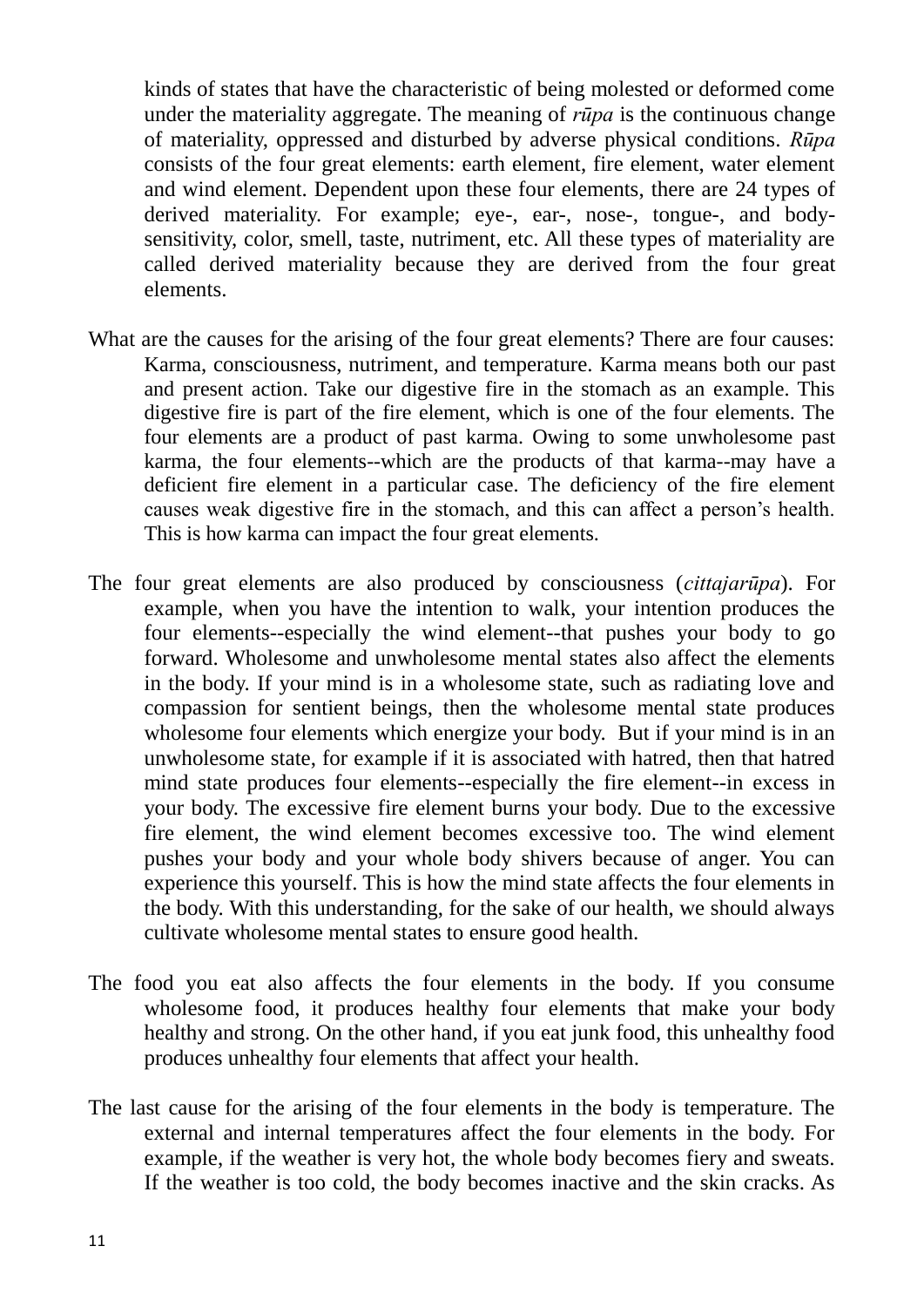kinds of states that have the characteristic of being molested or deformed come under the materiality aggregate. The meaning of *rūpa* is the continuous change of materiality, oppressed and disturbed by adverse physical conditions. *Rūpa* consists of the four great elements: earth element, fire element, water element and wind element. Dependent upon these four elements, there are 24 types of derived materiality. For example; eye-, ear-, nose-, tongue-, and bodysensitivity, color, smell, taste, nutriment, etc. All these types of materiality are called derived materiality because they are derived from the four great elements.

- What are the causes for the arising of the four great elements? There are four causes: Karma, consciousness, nutriment, and temperature. Karma means both our past and present action. Take our digestive fire in the stomach as an example. This digestive fire is part of the fire element, which is one of the four elements. The four elements are a product of past karma. Owing to some unwholesome past karma, the four elements--which are the products of that karma--may have a deficient fire element in a particular case. The deficiency of the fire element causes weak digestive fire in the stomach, and this can affect a person"s health. This is how karma can impact the four great elements.
- The four great elements are also produced by consciousness (*cittajarūpa*). For example, when you have the intention to walk, your intention produces the four elements--especially the wind element--that pushes your body to go forward. Wholesome and unwholesome mental states also affect the elements in the body. If your mind is in a wholesome state, such as radiating love and compassion for sentient beings, then the wholesome mental state produces wholesome four elements which energize your body. But if your mind is in an unwholesome state, for example if it is associated with hatred, then that hatred mind state produces four elements--especially the fire element--in excess in your body. The excessive fire element burns your body. Due to the excessive fire element, the wind element becomes excessive too. The wind element pushes your body and your whole body shivers because of anger. You can experience this yourself. This is how the mind state affects the four elements in the body. With this understanding, for the sake of our health, we should always cultivate wholesome mental states to ensure good health.
- The food you eat also affects the four elements in the body. If you consume wholesome food, it produces healthy four elements that make your body healthy and strong. On the other hand, if you eat junk food, this unhealthy food produces unhealthy four elements that affect your health.
- The last cause for the arising of the four elements in the body is temperature. The external and internal temperatures affect the four elements in the body. For example, if the weather is very hot, the whole body becomes fiery and sweats. If the weather is too cold, the body becomes inactive and the skin cracks. As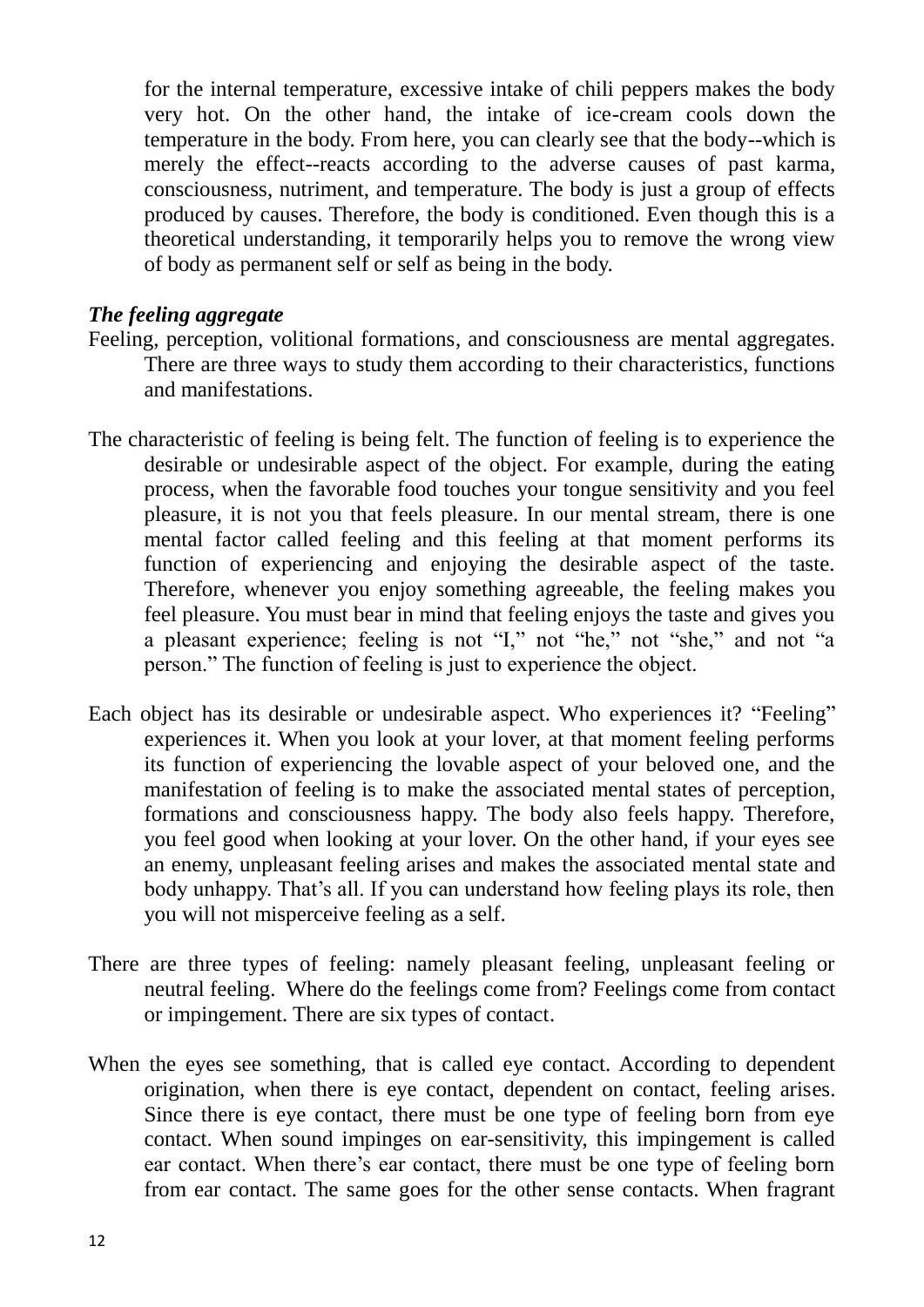for the internal temperature, excessive intake of chili peppers makes the body very hot. On the other hand, the intake of ice-cream cools down the temperature in the body. From here, you can clearly see that the body--which is merely the effect--reacts according to the adverse causes of past karma, consciousness, nutriment, and temperature. The body is just a group of effects produced by causes. Therefore, the body is conditioned. Even though this is a theoretical understanding, it temporarily helps you to remove the wrong view of body as permanent self or self as being in the body.

#### *The feeling aggregate*

- Feeling, perception, volitional formations, and consciousness are mental aggregates. There are three ways to study them according to their characteristics, functions and manifestations.
- The characteristic of feeling is being felt. The function of feeling is to experience the desirable or undesirable aspect of the object. For example, during the eating process, when the favorable food touches your tongue sensitivity and you feel pleasure, it is not you that feels pleasure. In our mental stream, there is one mental factor called feeling and this feeling at that moment performs its function of experiencing and enjoying the desirable aspect of the taste. Therefore, whenever you enjoy something agreeable, the feeling makes you feel pleasure. You must bear in mind that feeling enjoys the taste and gives you a pleasant experience; feeling is not "I," not "he," not "she," and not "a person." The function of feeling is just to experience the object.
- Each object has its desirable or undesirable aspect. Who experiences it? "Feeling" experiences it. When you look at your lover, at that moment feeling performs its function of experiencing the lovable aspect of your beloved one, and the manifestation of feeling is to make the associated mental states of perception, formations and consciousness happy. The body also feels happy. Therefore, you feel good when looking at your lover. On the other hand, if your eyes see an enemy, unpleasant feeling arises and makes the associated mental state and body unhappy. That's all. If you can understand how feeling plays its role, then you will not misperceive feeling as a self.
- There are three types of feeling: namely pleasant feeling, unpleasant feeling or neutral feeling. Where do the feelings come from? Feelings come from contact or impingement. There are six types of contact.
- When the eyes see something, that is called eye contact. According to dependent origination, when there is eye contact, dependent on contact, feeling arises. Since there is eye contact, there must be one type of feeling born from eye contact. When sound impinges on ear-sensitivity, this impingement is called ear contact. When there's ear contact, there must be one type of feeling born from ear contact. The same goes for the other sense contacts. When fragrant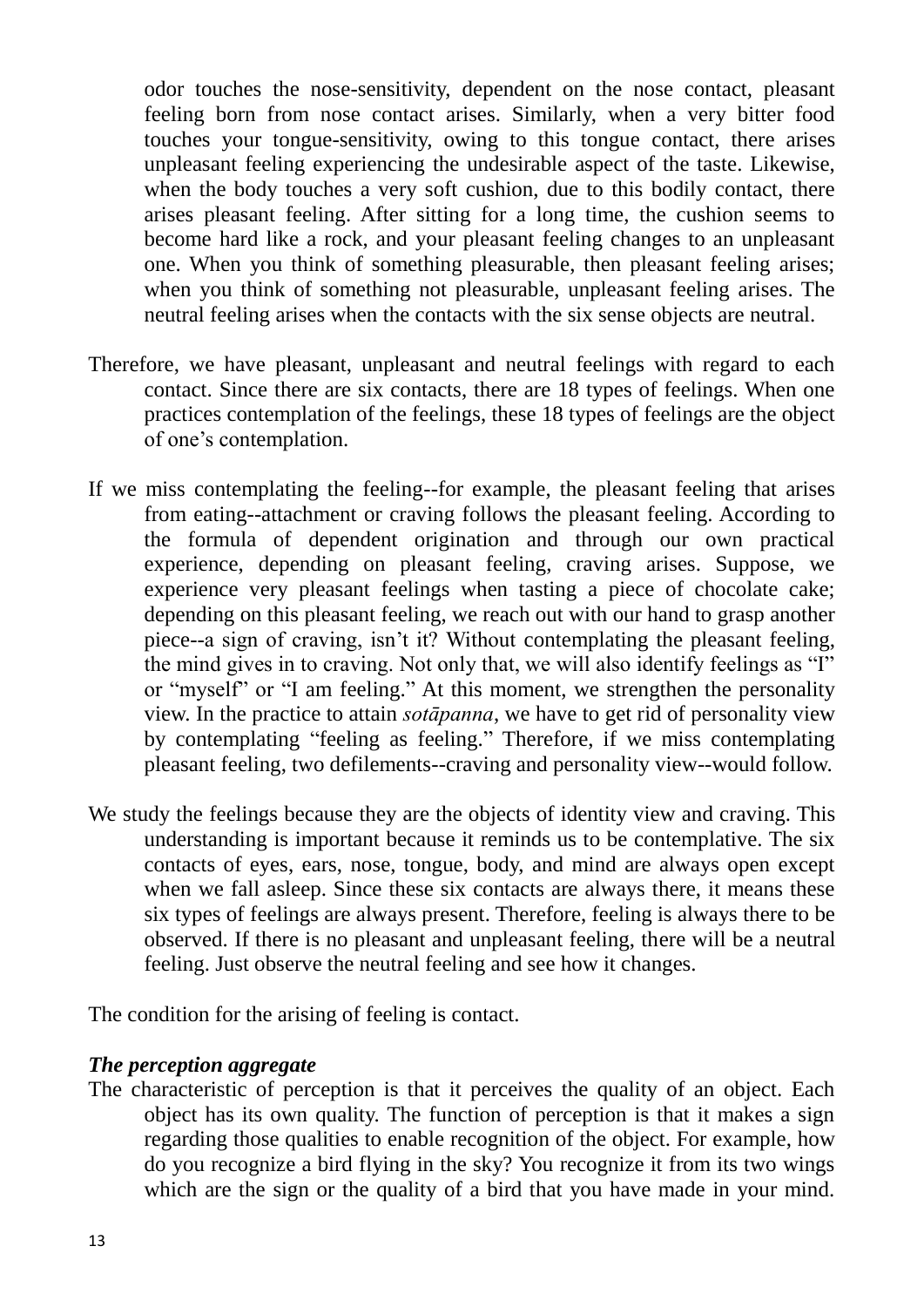odor touches the nose-sensitivity, dependent on the nose contact, pleasant feeling born from nose contact arises. Similarly, when a very bitter food touches your tongue-sensitivity, owing to this tongue contact, there arises unpleasant feeling experiencing the undesirable aspect of the taste. Likewise, when the body touches a very soft cushion, due to this bodily contact, there arises pleasant feeling. After sitting for a long time, the cushion seems to become hard like a rock, and your pleasant feeling changes to an unpleasant one. When you think of something pleasurable, then pleasant feeling arises; when you think of something not pleasurable, unpleasant feeling arises. The neutral feeling arises when the contacts with the six sense objects are neutral.

- Therefore, we have pleasant, unpleasant and neutral feelings with regard to each contact. Since there are six contacts, there are 18 types of feelings. When one practices contemplation of the feelings, these 18 types of feelings are the object of one"s contemplation.
- If we miss contemplating the feeling--for example, the pleasant feeling that arises from eating--attachment or craving follows the pleasant feeling. According to the formula of dependent origination and through our own practical experience, depending on pleasant feeling, craving arises. Suppose, we experience very pleasant feelings when tasting a piece of chocolate cake; depending on this pleasant feeling, we reach out with our hand to grasp another piece--a sign of craving, isn"t it? Without contemplating the pleasant feeling, the mind gives in to craving. Not only that, we will also identify feelings as "I" or "myself" or "I am feeling." At this moment, we strengthen the personality view. In the practice to attain *sotāpanna*, we have to get rid of personality view by contemplating "feeling as feeling." Therefore, if we miss contemplating pleasant feeling, two defilements--craving and personality view--would follow.
- We study the feelings because they are the objects of identity view and craving. This understanding is important because it reminds us to be contemplative. The six contacts of eyes, ears, nose, tongue, body, and mind are always open except when we fall asleep. Since these six contacts are always there, it means these six types of feelings are always present. Therefore, feeling is always there to be observed. If there is no pleasant and unpleasant feeling, there will be a neutral feeling. Just observe the neutral feeling and see how it changes.

The condition for the arising of feeling is contact.

#### *The perception aggregate*

The characteristic of perception is that it perceives the quality of an object. Each object has its own quality. The function of perception is that it makes a sign regarding those qualities to enable recognition of the object. For example, how do you recognize a bird flying in the sky? You recognize it from its two wings which are the sign or the quality of a bird that you have made in your mind.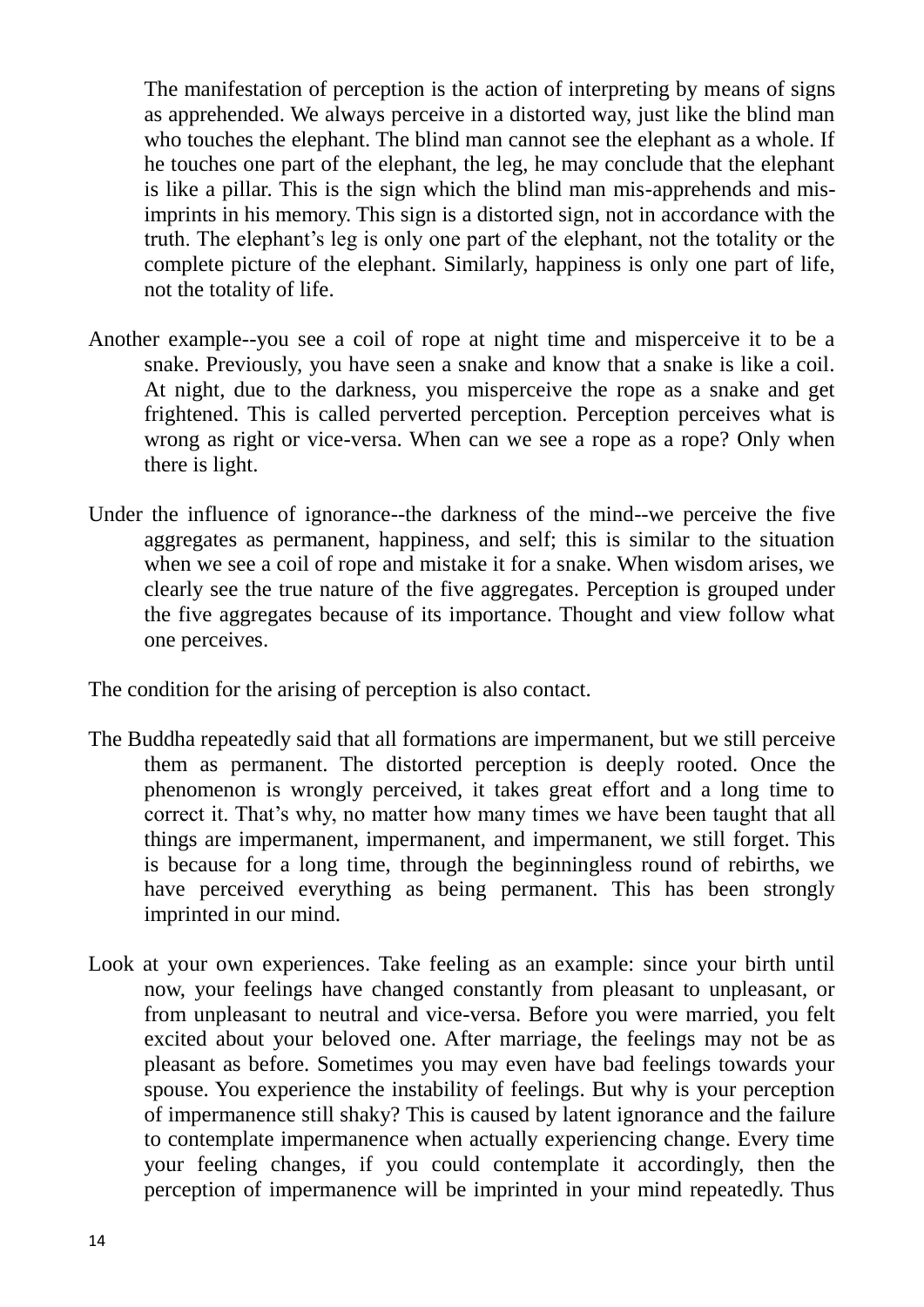The manifestation of perception is the action of interpreting by means of signs as apprehended. We always perceive in a distorted way, just like the blind man who touches the elephant. The blind man cannot see the elephant as a whole. If he touches one part of the elephant, the leg, he may conclude that the elephant is like a pillar. This is the sign which the blind man mis-apprehends and misimprints in his memory. This sign is a distorted sign, not in accordance with the truth. The elephant"s leg is only one part of the elephant, not the totality or the complete picture of the elephant. Similarly, happiness is only one part of life, not the totality of life.

- Another example--you see a coil of rope at night time and misperceive it to be a snake. Previously, you have seen a snake and know that a snake is like a coil. At night, due to the darkness, you misperceive the rope as a snake and get frightened. This is called perverted perception. Perception perceives what is wrong as right or vice-versa. When can we see a rope as a rope? Only when there is light.
- Under the influence of ignorance--the darkness of the mind--we perceive the five aggregates as permanent, happiness, and self; this is similar to the situation when we see a coil of rope and mistake it for a snake. When wisdom arises, we clearly see the true nature of the five aggregates. Perception is grouped under the five aggregates because of its importance. Thought and view follow what one perceives.

The condition for the arising of perception is also contact.

- The Buddha repeatedly said that all formations are impermanent, but we still perceive them as permanent. The distorted perception is deeply rooted. Once the phenomenon is wrongly perceived, it takes great effort and a long time to correct it. That's why, no matter how many times we have been taught that all things are impermanent, impermanent, and impermanent, we still forget. This is because for a long time, through the beginningless round of rebirths, we have perceived everything as being permanent. This has been strongly imprinted in our mind.
- Look at your own experiences. Take feeling as an example: since your birth until now, your feelings have changed constantly from pleasant to unpleasant, or from unpleasant to neutral and vice-versa. Before you were married, you felt excited about your beloved one. After marriage, the feelings may not be as pleasant as before. Sometimes you may even have bad feelings towards your spouse. You experience the instability of feelings. But why is your perception of impermanence still shaky? This is caused by latent ignorance and the failure to contemplate impermanence when actually experiencing change. Every time your feeling changes, if you could contemplate it accordingly, then the perception of impermanence will be imprinted in your mind repeatedly. Thus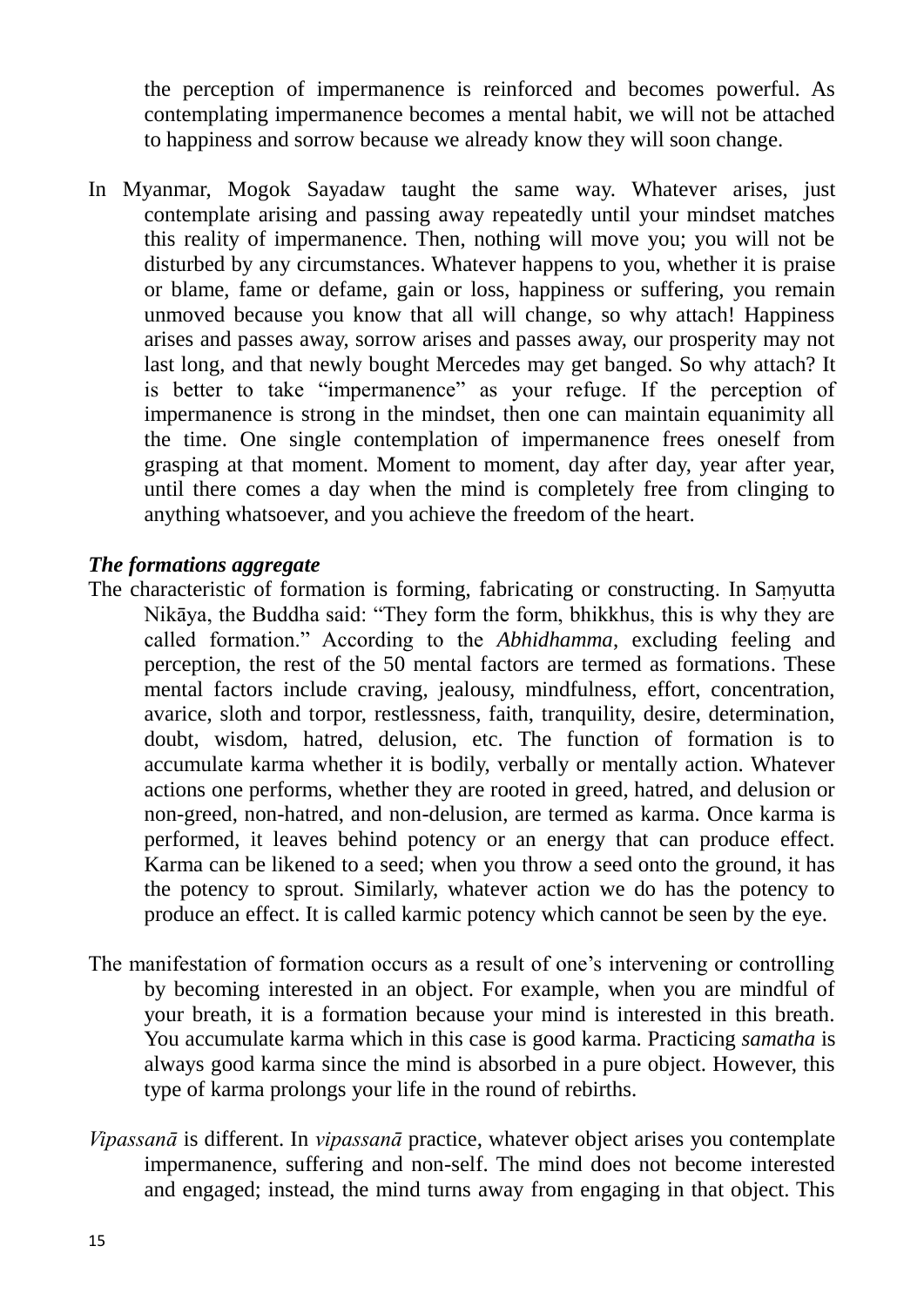the perception of impermanence is reinforced and becomes powerful. As contemplating impermanence becomes a mental habit, we will not be attached to happiness and sorrow because we already know they will soon change.

In Myanmar, Mogok Sayadaw taught the same way. Whatever arises, just contemplate arising and passing away repeatedly until your mindset matches this reality of impermanence. Then, nothing will move you; you will not be disturbed by any circumstances. Whatever happens to you, whether it is praise or blame, fame or defame, gain or loss, happiness or suffering, you remain unmoved because you know that all will change, so why attach! Happiness arises and passes away, sorrow arises and passes away, our prosperity may not last long, and that newly bought Mercedes may get banged. So why attach? It is better to take "impermanence" as your refuge. If the perception of impermanence is strong in the mindset, then one can maintain equanimity all the time. One single contemplation of impermanence frees oneself from grasping at that moment. Moment to moment, day after day, year after year, until there comes a day when the mind is completely free from clinging to anything whatsoever, and you achieve the freedom of the heart.

### *The formations aggregate*

- The characteristic of formation is forming, fabricating or constructing. In Saṃyutta Nikāya, the Buddha said: "They form the form, bhikkhus, this is why they are called formation." According to the *Abhidhamma*, excluding feeling and perception, the rest of the 50 mental factors are termed as formations. These mental factors include craving, jealousy, mindfulness, effort, concentration, avarice, sloth and torpor, restlessness, faith, tranquility, desire, determination, doubt, wisdom, hatred, delusion, etc. The function of formation is to accumulate karma whether it is bodily, verbally or mentally action. Whatever actions one performs, whether they are rooted in greed, hatred, and delusion or non-greed, non-hatred, and non-delusion, are termed as karma. Once karma is performed, it leaves behind potency or an energy that can produce effect. Karma can be likened to a seed; when you throw a seed onto the ground, it has the potency to sprout. Similarly, whatever action we do has the potency to produce an effect. It is called karmic potency which cannot be seen by the eye.
- The manifestation of formation occurs as a result of one's intervening or controlling by becoming interested in an object. For example, when you are mindful of your breath, it is a formation because your mind is interested in this breath. You accumulate karma which in this case is good karma. Practicing *samatha* is always good karma since the mind is absorbed in a pure object. However, this type of karma prolongs your life in the round of rebirths.
- *Vipassanā* is different. In *vipassanā* practice, whatever object arises you contemplate impermanence, suffering and non-self. The mind does not become interested and engaged; instead, the mind turns away from engaging in that object. This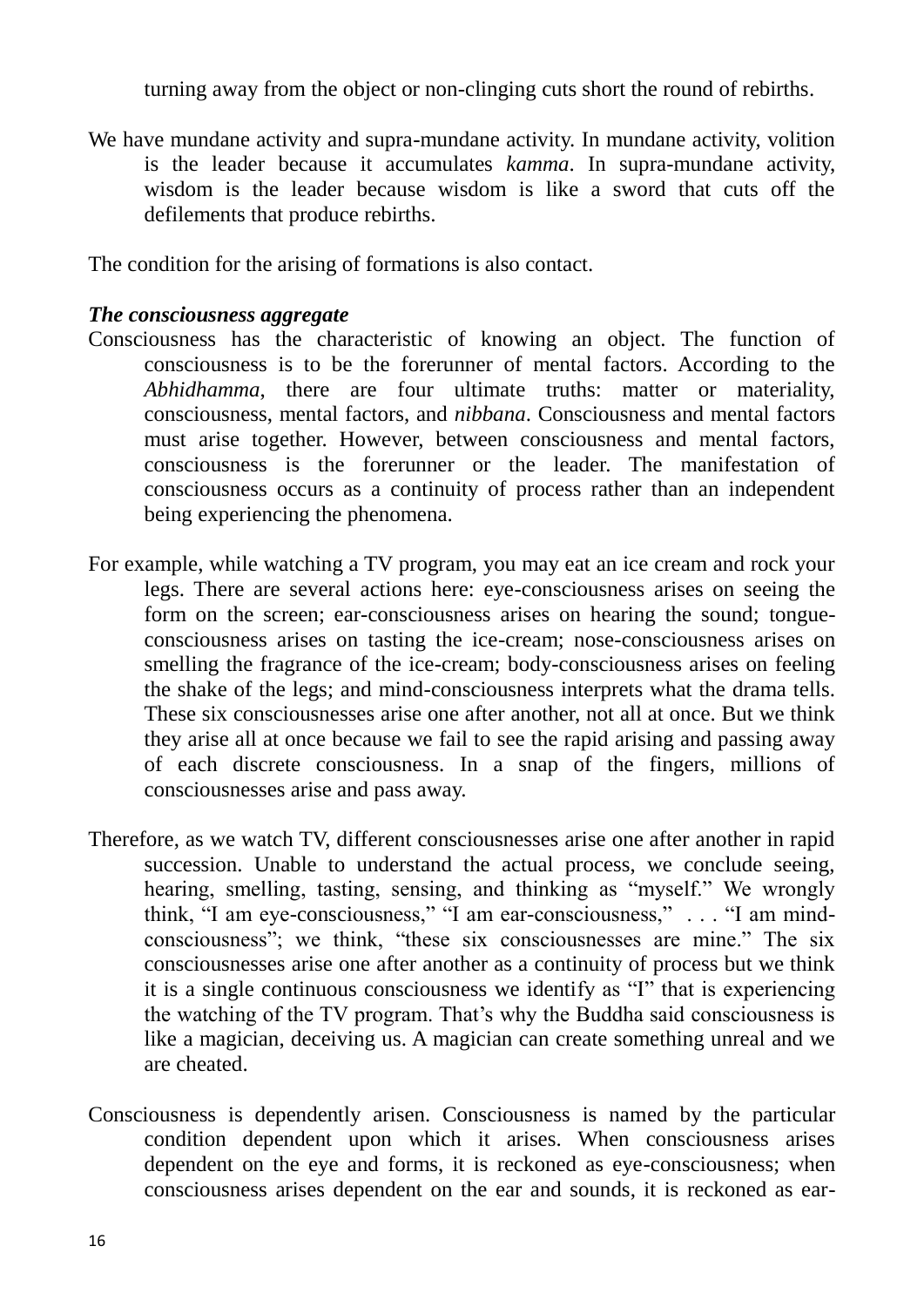turning away from the object or non-clinging cuts short the round of rebirths.

We have mundane activity and supra-mundane activity. In mundane activity, volition is the leader because it accumulates *kamma*. In supra-mundane activity, wisdom is the leader because wisdom is like a sword that cuts off the defilements that produce rebirths.

The condition for the arising of formations is also contact.

#### *The consciousness aggregate*

- Consciousness has the characteristic of knowing an object. The function of consciousness is to be the forerunner of mental factors. According to the *Abhidhamma*, there are four ultimate truths: matter or materiality, consciousness, mental factors, and *nibbana*. Consciousness and mental factors must arise together. However, between consciousness and mental factors, consciousness is the forerunner or the leader. The manifestation of consciousness occurs as a continuity of process rather than an independent being experiencing the phenomena.
- For example, while watching a TV program, you may eat an ice cream and rock your legs. There are several actions here: eye-consciousness arises on seeing the form on the screen; ear-consciousness arises on hearing the sound; tongueconsciousness arises on tasting the ice-cream; nose-consciousness arises on smelling the fragrance of the ice-cream; body-consciousness arises on feeling the shake of the legs; and mind-consciousness interprets what the drama tells. These six consciousnesses arise one after another, not all at once. But we think they arise all at once because we fail to see the rapid arising and passing away of each discrete consciousness. In a snap of the fingers, millions of consciousnesses arise and pass away.
- Therefore, as we watch TV, different consciousnesses arise one after another in rapid succession. Unable to understand the actual process, we conclude seeing, hearing, smelling, tasting, sensing, and thinking as "myself." We wrongly think, "I am eye-consciousness," "I am ear-consciousness," . . . "I am mindconsciousness"; we think, "these six consciousnesses are mine." The six consciousnesses arise one after another as a continuity of process but we think it is a single continuous consciousness we identify as "I" that is experiencing the watching of the TV program. That"s why the Buddha said consciousness is like a magician, deceiving us. A magician can create something unreal and we are cheated.
- Consciousness is dependently arisen. Consciousness is named by the particular condition dependent upon which it arises. When consciousness arises dependent on the eye and forms, it is reckoned as eye-consciousness; when consciousness arises dependent on the ear and sounds, it is reckoned as ear-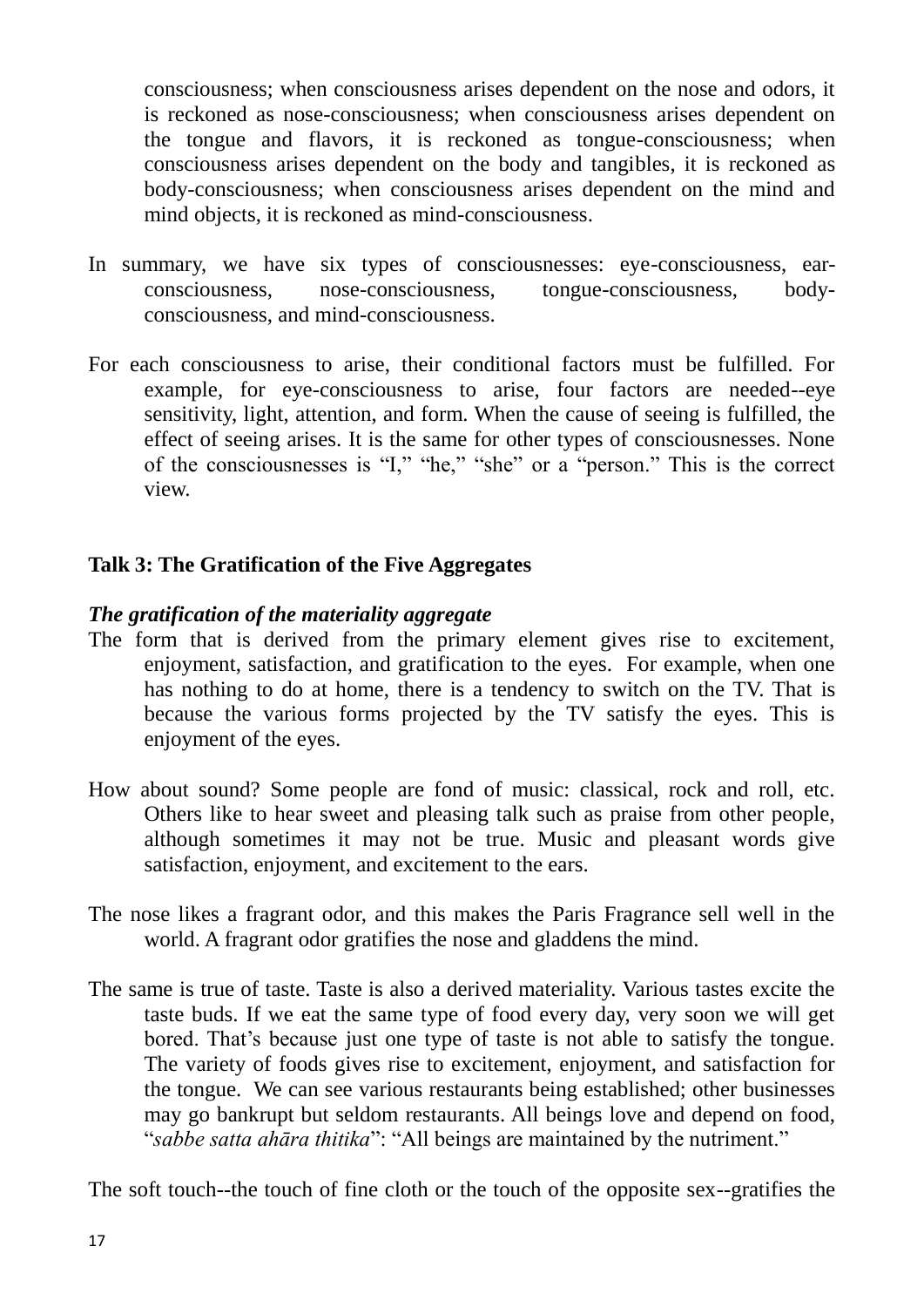consciousness; when consciousness arises dependent on the nose and odors, it is reckoned as nose-consciousness; when consciousness arises dependent on the tongue and flavors, it is reckoned as tongue-consciousness; when consciousness arises dependent on the body and tangibles, it is reckoned as body-consciousness; when consciousness arises dependent on the mind and mind objects, it is reckoned as mind-consciousness.

- In summary, we have six types of consciousnesses: eye-consciousness, earconsciousness, nose-consciousness, tongue-consciousness, bodyconsciousness, and mind-consciousness.
- For each consciousness to arise, their conditional factors must be fulfilled. For example, for eye-consciousness to arise, four factors are needed--eye sensitivity, light, attention, and form. When the cause of seeing is fulfilled, the effect of seeing arises. It is the same for other types of consciousnesses. None of the consciousnesses is "I," "he," "she" or a "person." This is the correct view.

## **Talk 3: The Gratification of the Five Aggregates**

### *The gratification of the materiality aggregate*

- The form that is derived from the primary element gives rise to excitement, enjoyment, satisfaction, and gratification to the eyes. For example, when one has nothing to do at home, there is a tendency to switch on the TV. That is because the various forms projected by the TV satisfy the eyes. This is enjoyment of the eyes.
- How about sound? Some people are fond of music: classical, rock and roll, etc. Others like to hear sweet and pleasing talk such as praise from other people, although sometimes it may not be true. Music and pleasant words give satisfaction, enjoyment, and excitement to the ears.
- The nose likes a fragrant odor, and this makes the Paris Fragrance sell well in the world. A fragrant odor gratifies the nose and gladdens the mind.
- The same is true of taste. Taste is also a derived materiality. Various tastes excite the taste buds. If we eat the same type of food every day, very soon we will get bored. That"s because just one type of taste is not able to satisfy the tongue. The variety of foods gives rise to excitement, enjoyment, and satisfaction for the tongue. We can see various restaurants being established; other businesses may go bankrupt but seldom restaurants. All beings love and depend on food, "*sabbe satta ahāra thitika*": "All beings are maintained by the nutriment."

The soft touch--the touch of fine cloth or the touch of the opposite sex--gratifies the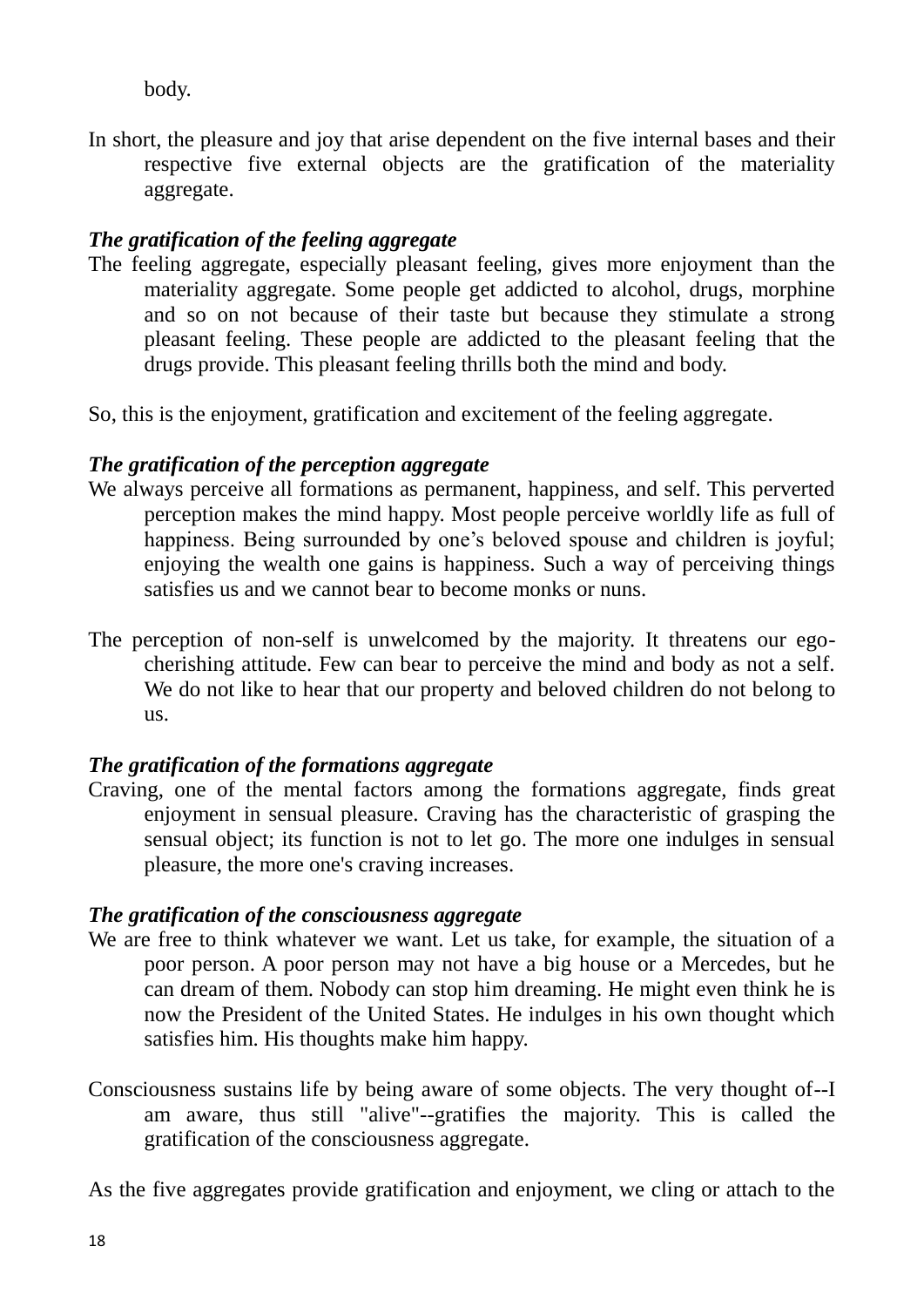body.

In short, the pleasure and joy that arise dependent on the five internal bases and their respective five external objects are the gratification of the materiality aggregate.

## *The gratification of the feeling aggregate*

The feeling aggregate, especially pleasant feeling, gives more enjoyment than the materiality aggregate. Some people get addicted to alcohol, drugs, morphine and so on not because of their taste but because they stimulate a strong pleasant feeling. These people are addicted to the pleasant feeling that the drugs provide. This pleasant feeling thrills both the mind and body.

So, this is the enjoyment, gratification and excitement of the feeling aggregate.

## *The gratification of the perception aggregate*

- We always perceive all formations as permanent, happiness, and self. This perverted perception makes the mind happy. Most people perceive worldly life as full of happiness. Being surrounded by one's beloved spouse and children is joyful; enjoying the wealth one gains is happiness. Such a way of perceiving things satisfies us and we cannot bear to become monks or nuns.
- The perception of non-self is unwelcomed by the majority. It threatens our egocherishing attitude. Few can bear to perceive the mind and body as not a self. We do not like to hear that our property and beloved children do not belong to us.

## *The gratification of the formations aggregate*

Craving, one of the mental factors among the formations aggregate, finds great enjoyment in sensual pleasure. Craving has the characteristic of grasping the sensual object; its function is not to let go. The more one indulges in sensual pleasure, the more one's craving increases.

## *The gratification of the consciousness aggregate*

- We are free to think whatever we want. Let us take, for example, the situation of a poor person. A poor person may not have a big house or a Mercedes, but he can dream of them. Nobody can stop him dreaming. He might even think he is now the President of the United States. He indulges in his own thought which satisfies him. His thoughts make him happy.
- Consciousness sustains life by being aware of some objects. The very thought of--I am aware, thus still "alive"--gratifies the majority. This is called the gratification of the consciousness aggregate.

As the five aggregates provide gratification and enjoyment, we cling or attach to the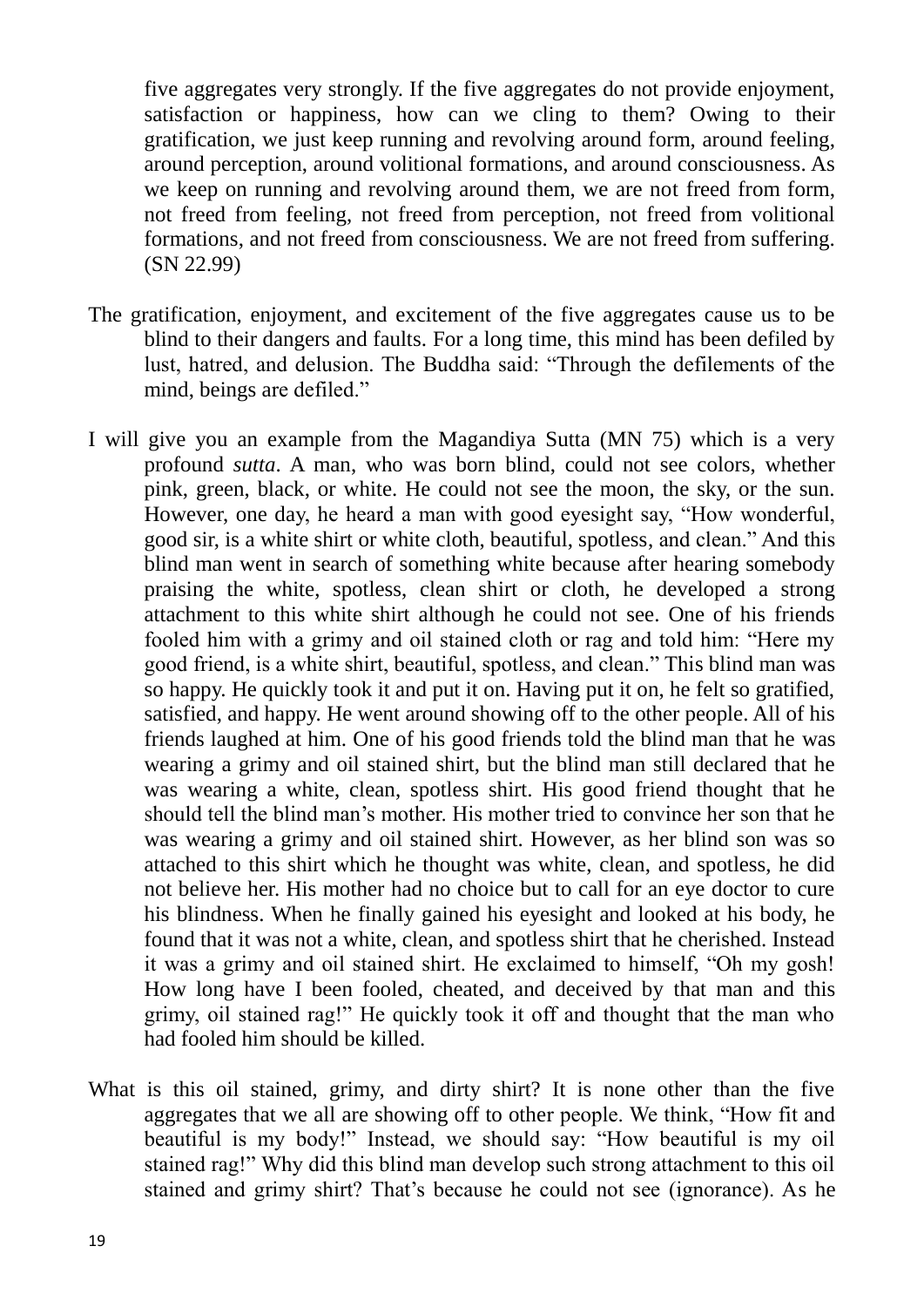five aggregates very strongly. If the five aggregates do not provide enjoyment, satisfaction or happiness, how can we cling to them? Owing to their gratification, we just keep running and revolving around form, around feeling, around perception, around volitional formations, and around consciousness. As we keep on running and revolving around them, we are not freed from form, not freed from feeling, not freed from perception, not freed from volitional formations, and not freed from consciousness. We are not freed from suffering. (SN 22.99)

- The gratification, enjoyment, and excitement of the five aggregates cause us to be blind to their dangers and faults. For a long time, this mind has been defiled by lust, hatred, and delusion. The Buddha said: "Through the defilements of the mind, beings are defiled."
- I will give you an example from the Magandiya Sutta (MN 75) which is a very profound *sutta*. A man, who was born blind, could not see colors, whether pink, green, black, or white. He could not see the moon, the sky, or the sun. However, one day, he heard a man with good eyesight say, "How wonderful, good sir, is a white shirt or white cloth, beautiful, spotless, and clean." And this blind man went in search of something white because after hearing somebody praising the white, spotless, clean shirt or cloth, he developed a strong attachment to this white shirt although he could not see. One of his friends fooled him with a grimy and oil stained cloth or rag and told him: "Here my good friend, is a white shirt, beautiful, spotless, and clean." This blind man was so happy. He quickly took it and put it on. Having put it on, he felt so gratified, satisfied, and happy. He went around showing off to the other people. All of his friends laughed at him. One of his good friends told the blind man that he was wearing a grimy and oil stained shirt, but the blind man still declared that he was wearing a white, clean, spotless shirt. His good friend thought that he should tell the blind man"s mother. His mother tried to convince her son that he was wearing a grimy and oil stained shirt. However, as her blind son was so attached to this shirt which he thought was white, clean, and spotless, he did not believe her. His mother had no choice but to call for an eye doctor to cure his blindness. When he finally gained his eyesight and looked at his body, he found that it was not a white, clean, and spotless shirt that he cherished. Instead it was a grimy and oil stained shirt. He exclaimed to himself, "Oh my gosh! How long have I been fooled, cheated, and deceived by that man and this grimy, oil stained rag!" He quickly took it off and thought that the man who had fooled him should be killed.
- What is this oil stained, grimy, and dirty shirt? It is none other than the five aggregates that we all are showing off to other people. We think, "How fit and beautiful is my body!" Instead, we should say: "How beautiful is my oil stained rag!" Why did this blind man develop such strong attachment to this oil stained and grimy shirt? That"s because he could not see (ignorance). As he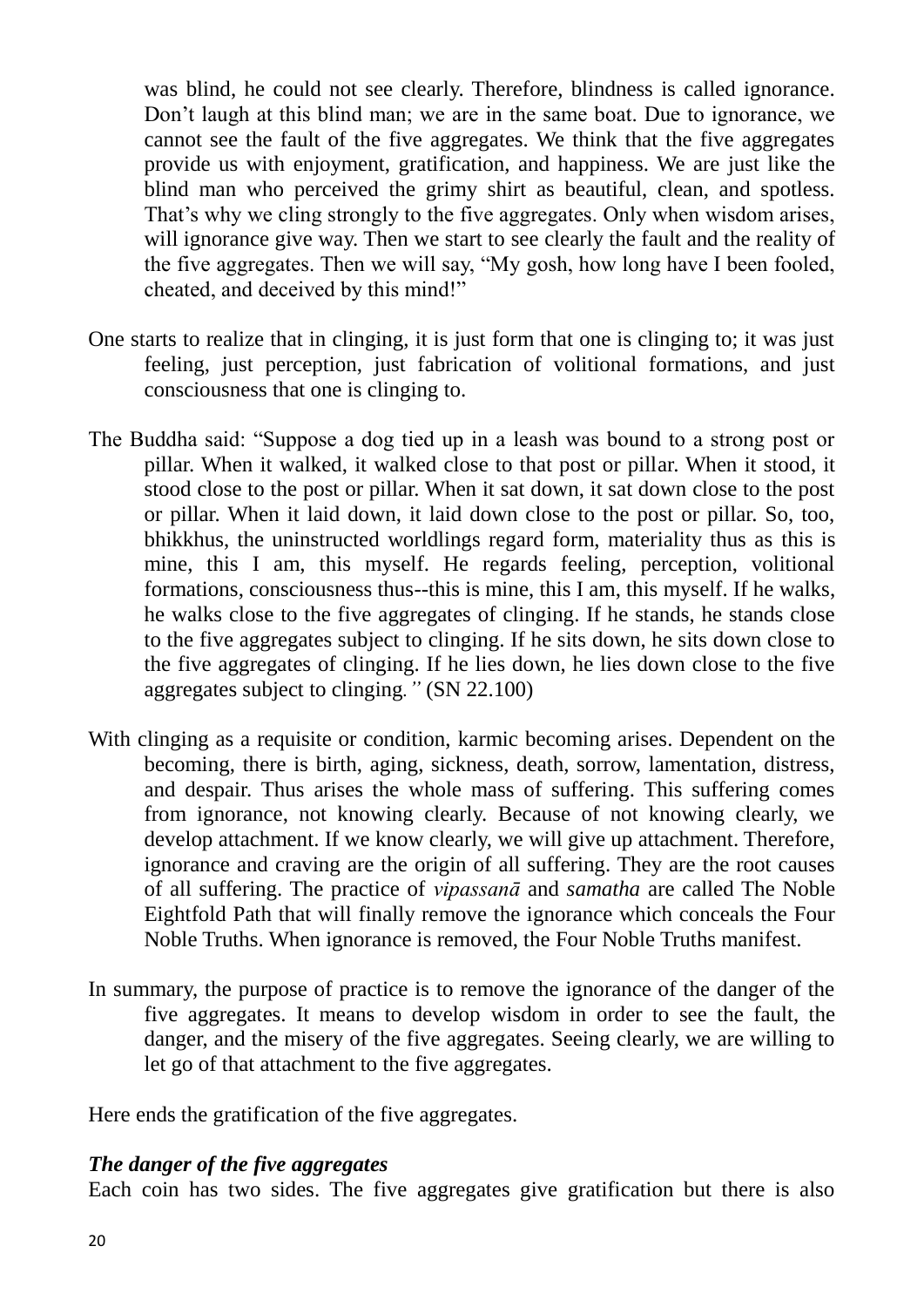was blind, he could not see clearly. Therefore, blindness is called ignorance. Don"t laugh at this blind man; we are in the same boat. Due to ignorance, we cannot see the fault of the five aggregates. We think that the five aggregates provide us with enjoyment, gratification, and happiness. We are just like the blind man who perceived the grimy shirt as beautiful, clean, and spotless. That's why we cling strongly to the five aggregates. Only when wisdom arises, will ignorance give way. Then we start to see clearly the fault and the reality of the five aggregates. Then we will say, "My gosh, how long have I been fooled, cheated, and deceived by this mind!"

- One starts to realize that in clinging, it is just form that one is clinging to; it was just feeling, just perception, just fabrication of volitional formations, and just consciousness that one is clinging to.
- The Buddha said: "Suppose a dog tied up in a leash was bound to a strong post or pillar. When it walked, it walked close to that post or pillar. When it stood, it stood close to the post or pillar. When it sat down, it sat down close to the post or pillar. When it laid down, it laid down close to the post or pillar. So, too, bhikkhus, the uninstructed worldlings regard form, materiality thus as this is mine, this I am, this myself. He regards feeling, perception, volitional formations, consciousness thus--this is mine, this I am, this myself. If he walks, he walks close to the five aggregates of clinging. If he stands, he stands close to the five aggregates subject to clinging. If he sits down, he sits down close to the five aggregates of clinging. If he lies down, he lies down close to the five aggregates subject to clinging*."* (SN 22.100)
- With clinging as a requisite or condition, karmic becoming arises. Dependent on the becoming, there is birth, aging, sickness, death, sorrow, lamentation, distress, and despair. Thus arises the whole mass of suffering. This suffering comes from ignorance, not knowing clearly. Because of not knowing clearly, we develop attachment. If we know clearly, we will give up attachment. Therefore, ignorance and craving are the origin of all suffering. They are the root causes of all suffering. The practice of *vipassanā* and *samatha* are called The Noble Eightfold Path that will finally remove the ignorance which conceals the Four Noble Truths. When ignorance is removed, the Four Noble Truths manifest.
- In summary, the purpose of practice is to remove the ignorance of the danger of the five aggregates. It means to develop wisdom in order to see the fault, the danger, and the misery of the five aggregates. Seeing clearly, we are willing to let go of that attachment to the five aggregates.

Here ends the gratification of the five aggregates.

## *The danger of the five aggregates*

Each coin has two sides. The five aggregates give gratification but there is also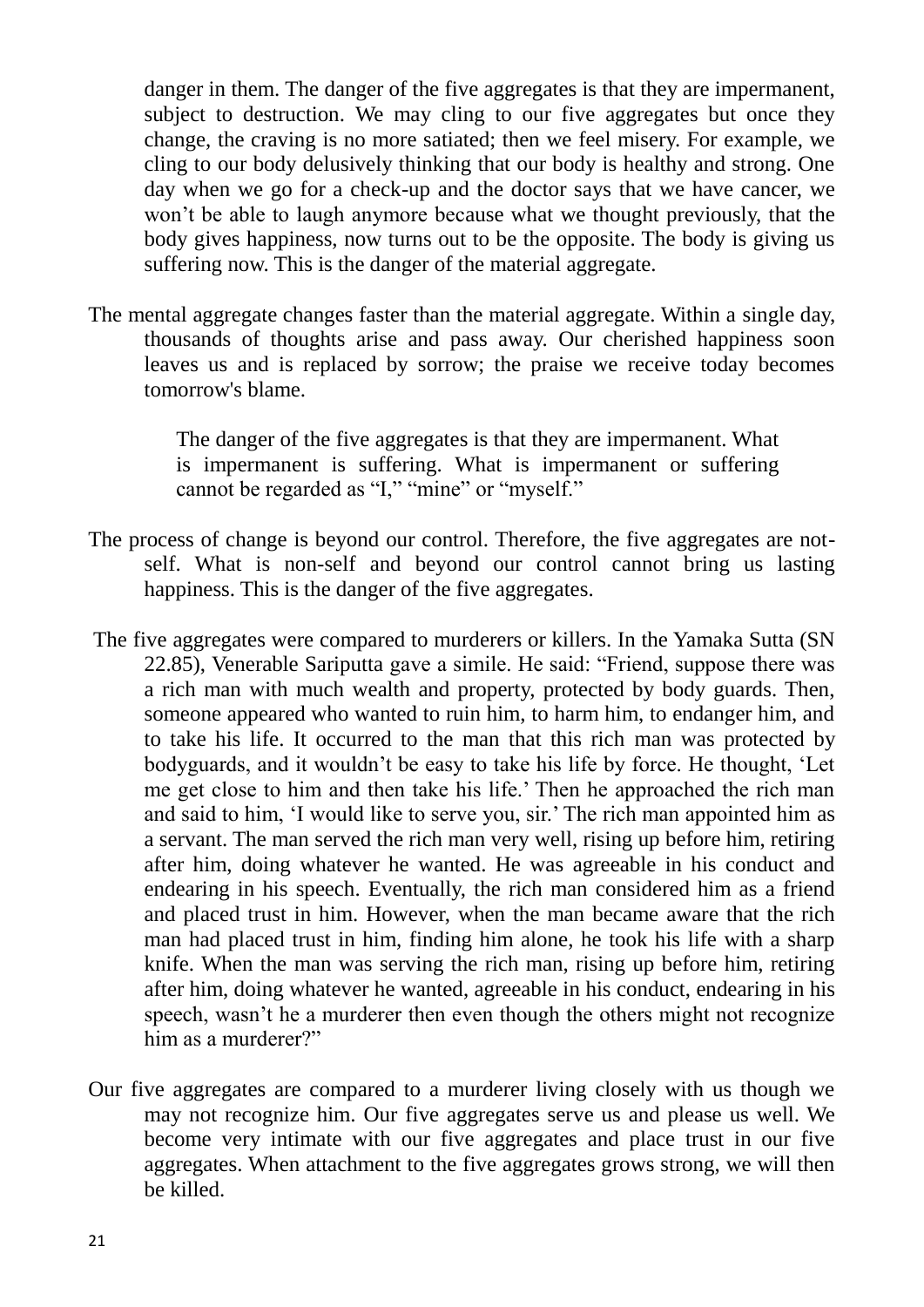danger in them. The danger of the five aggregates is that they are impermanent, subject to destruction. We may cling to our five aggregates but once they change, the craving is no more satiated; then we feel misery. For example, we cling to our body delusively thinking that our body is healthy and strong. One day when we go for a check-up and the doctor says that we have cancer, we won"t be able to laugh anymore because what we thought previously, that the body gives happiness, now turns out to be the opposite. The body is giving us suffering now. This is the danger of the material aggregate.

The mental aggregate changes faster than the material aggregate. Within a single day, thousands of thoughts arise and pass away. Our cherished happiness soon leaves us and is replaced by sorrow; the praise we receive today becomes tomorrow's blame.

> The danger of the five aggregates is that they are impermanent. What is impermanent is suffering. What is impermanent or suffering cannot be regarded as "I," "mine" or "myself."

- The process of change is beyond our control. Therefore, the five aggregates are notself. What is non-self and beyond our control cannot bring us lasting happiness. This is the danger of the five aggregates.
- The five aggregates were compared to murderers or killers. In the Yamaka Sutta (SN 22.85), Venerable Sariputta gave a simile. He said: "Friend, suppose there was a rich man with much wealth and property, protected by body guards. Then, someone appeared who wanted to ruin him, to harm him, to endanger him, and to take his life. It occurred to the man that this rich man was protected by bodyguards, and it wouldn"t be easy to take his life by force. He thought, "Let me get close to him and then take his life." Then he approached the rich man and said to him, 'I would like to serve you, sir.' The rich man appointed him as a servant. The man served the rich man very well, rising up before him, retiring after him, doing whatever he wanted. He was agreeable in his conduct and endearing in his speech. Eventually, the rich man considered him as a friend and placed trust in him. However, when the man became aware that the rich man had placed trust in him, finding him alone, he took his life with a sharp knife. When the man was serving the rich man, rising up before him, retiring after him, doing whatever he wanted, agreeable in his conduct, endearing in his speech, wasn't he a murderer then even though the others might not recognize him as a murderer?"
- Our five aggregates are compared to a murderer living closely with us though we may not recognize him. Our five aggregates serve us and please us well. We become very intimate with our five aggregates and place trust in our five aggregates. When attachment to the five aggregates grows strong, we will then be killed.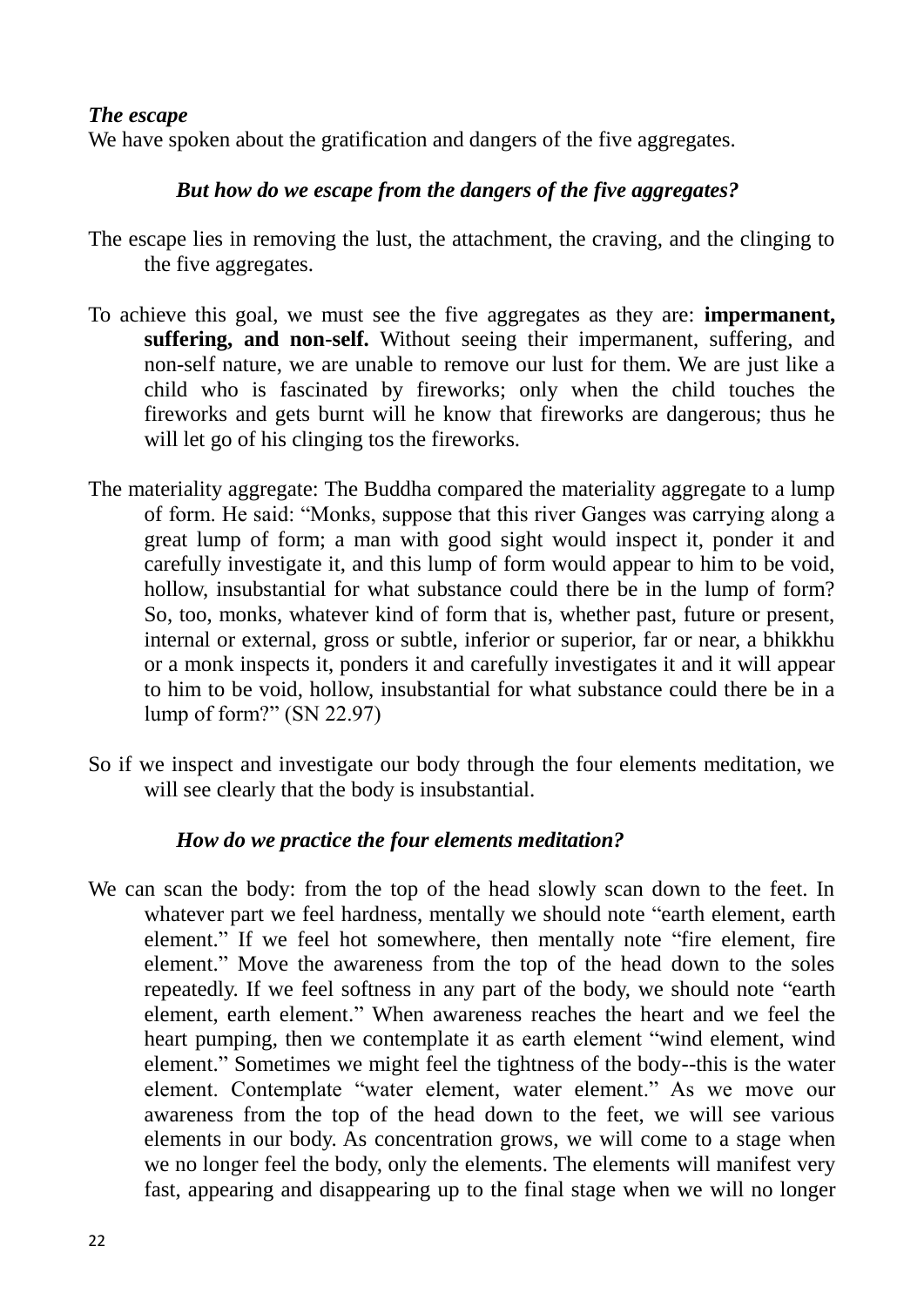### *The escape*

We have spoken about the gratification and dangers of the five aggregates.

## *But how do we escape from the dangers of the five aggregates?*

- The escape lies in removing the lust, the attachment, the craving, and the clinging to the five aggregates.
- To achieve this goal, we must see the five aggregates as they are: **impermanent, suffering, and non-self.** Without seeing their impermanent, suffering, and non-self nature, we are unable to remove our lust for them. We are just like a child who is fascinated by fireworks; only when the child touches the fireworks and gets burnt will he know that fireworks are dangerous; thus he will let go of his clinging tos the fireworks.
- The materiality aggregate: The Buddha compared the materiality aggregate to a lump of form. He said: "Monks, suppose that this river Ganges was carrying along a great lump of form; a man with good sight would inspect it, ponder it and carefully investigate it, and this lump of form would appear to him to be void, hollow, insubstantial for what substance could there be in the lump of form? So, too, monks, whatever kind of form that is, whether past, future or present, internal or external, gross or subtle, inferior or superior, far or near, a bhikkhu or a monk inspects it, ponders it and carefully investigates it and it will appear to him to be void, hollow, insubstantial for what substance could there be in a lump of form?" (SN 22.97)
- So if we inspect and investigate our body through the four elements meditation, we will see clearly that the body is insubstantial.

## *How do we practice the four elements meditation?*

We can scan the body: from the top of the head slowly scan down to the feet. In whatever part we feel hardness, mentally we should note "earth element, earth element." If we feel hot somewhere, then mentally note "fire element, fire element." Move the awareness from the top of the head down to the soles repeatedly. If we feel softness in any part of the body, we should note "earth element, earth element." When awareness reaches the heart and we feel the heart pumping, then we contemplate it as earth element "wind element, wind element." Sometimes we might feel the tightness of the body--this is the water element. Contemplate "water element, water element." As we move our awareness from the top of the head down to the feet, we will see various elements in our body. As concentration grows, we will come to a stage when we no longer feel the body, only the elements. The elements will manifest very fast, appearing and disappearing up to the final stage when we will no longer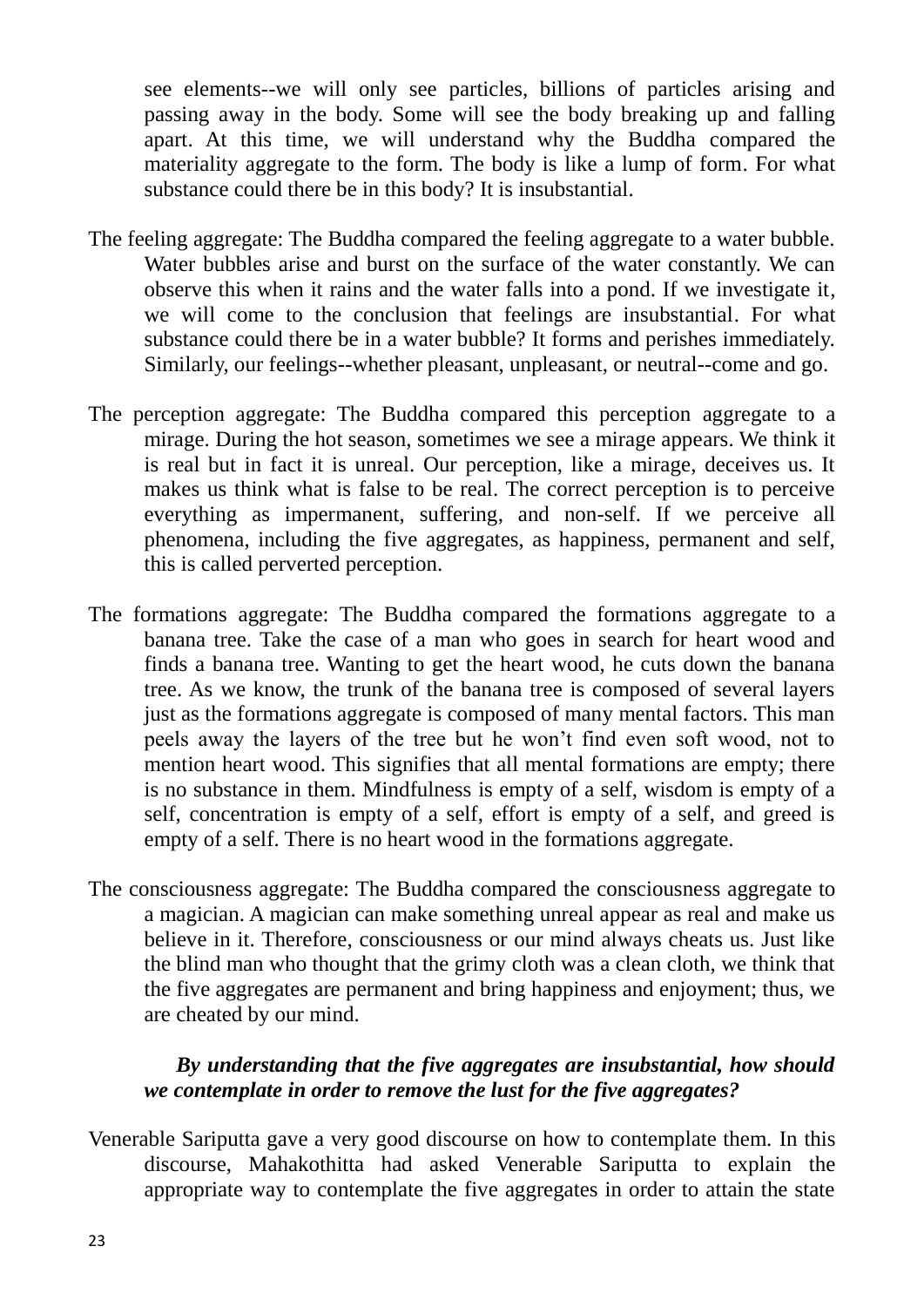see elements--we will only see particles, billions of particles arising and passing away in the body. Some will see the body breaking up and falling apart. At this time, we will understand why the Buddha compared the materiality aggregate to the form. The body is like a lump of form. For what substance could there be in this body? It is insubstantial.

- The feeling aggregate: The Buddha compared the feeling aggregate to a water bubble. Water bubbles arise and burst on the surface of the water constantly. We can observe this when it rains and the water falls into a pond. If we investigate it, we will come to the conclusion that feelings are insubstantial. For what substance could there be in a water bubble? It forms and perishes immediately. Similarly, our feelings--whether pleasant, unpleasant, or neutral--come and go.
- The perception aggregate: The Buddha compared this perception aggregate to a mirage. During the hot season, sometimes we see a mirage appears. We think it is real but in fact it is unreal. Our perception, like a mirage, deceives us. It makes us think what is false to be real. The correct perception is to perceive everything as impermanent, suffering, and non-self. If we perceive all phenomena, including the five aggregates, as happiness, permanent and self, this is called perverted perception.
- The formations aggregate: The Buddha compared the formations aggregate to a banana tree. Take the case of a man who goes in search for heart wood and finds a banana tree. Wanting to get the heart wood, he cuts down the banana tree. As we know, the trunk of the banana tree is composed of several layers just as the formations aggregate is composed of many mental factors. This man peels away the layers of the tree but he won"t find even soft wood, not to mention heart wood. This signifies that all mental formations are empty; there is no substance in them. Mindfulness is empty of a self, wisdom is empty of a self, concentration is empty of a self, effort is empty of a self, and greed is empty of a self. There is no heart wood in the formations aggregate.
- The consciousness aggregate: The Buddha compared the consciousness aggregate to a magician. A magician can make something unreal appear as real and make us believe in it. Therefore, consciousness or our mind always cheats us. Just like the blind man who thought that the grimy cloth was a clean cloth, we think that the five aggregates are permanent and bring happiness and enjoyment; thus, we are cheated by our mind.

## *By understanding that the five aggregates are insubstantial, how should we contemplate in order to remove the lust for the five aggregates?*

Venerable Sariputta gave a very good discourse on how to contemplate them. In this discourse, Mahakothitta had asked Venerable Sariputta to explain the appropriate way to contemplate the five aggregates in order to attain the state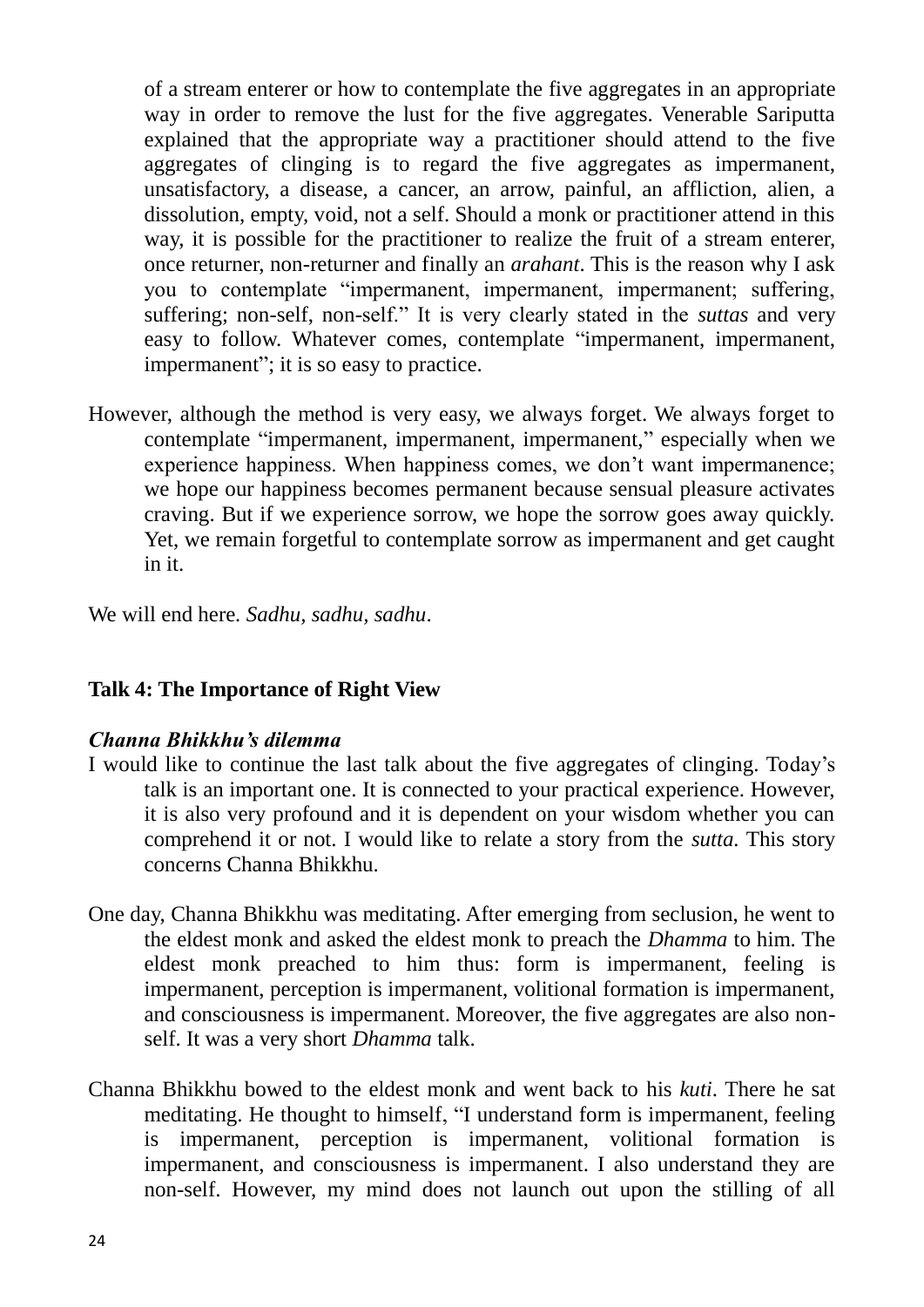of a stream enterer or how to contemplate the five aggregates in an appropriate way in order to remove the lust for the five aggregates. Venerable Sariputta explained that the appropriate way a practitioner should attend to the five aggregates of clinging is to regard the five aggregates as impermanent, unsatisfactory, a disease, a cancer, an arrow, painful, an affliction, alien, a dissolution, empty, void, not a self. Should a monk or practitioner attend in this way, it is possible for the practitioner to realize the fruit of a stream enterer, once returner, non-returner and finally an *arahant*. This is the reason why I ask you to contemplate "impermanent, impermanent, impermanent; suffering, suffering; non-self, non-self." It is very clearly stated in the *suttas* and very easy to follow. Whatever comes, contemplate "impermanent, impermanent, impermanent"; it is so easy to practice.

However, although the method is very easy, we always forget. We always forget to contemplate "impermanent, impermanent, impermanent," especially when we experience happiness. When happiness comes, we don't want impermanence; we hope our happiness becomes permanent because sensual pleasure activates craving. But if we experience sorrow, we hope the sorrow goes away quickly. Yet, we remain forgetful to contemplate sorrow as impermanent and get caught in it.

We will end here*. Sadhu, sadhu, sadhu*.

## **Talk 4: The Importance of Right View**

#### *Channa Bhikkhu"s dilemma*

- I would like to continue the last talk about the five aggregates of clinging. Today"s talk is an important one. It is connected to your practical experience. However, it is also very profound and it is dependent on your wisdom whether you can comprehend it or not. I would like to relate a story from the *sutta.* This story concerns Channa Bhikkhu.
- One day, Channa Bhikkhu was meditating. After emerging from seclusion, he went to the eldest monk and asked the eldest monk to preach the *Dhamma* to him. The eldest monk preached to him thus: form is impermanent, feeling is impermanent, perception is impermanent, volitional formation is impermanent, and consciousness is impermanent. Moreover, the five aggregates are also nonself. It was a very short *Dhamma* talk.
- Channa Bhikkhu bowed to the eldest monk and went back to his *kuti*. There he sat meditating. He thought to himself, "I understand form is impermanent, feeling is impermanent, perception is impermanent, volitional formation is impermanent, and consciousness is impermanent. I also understand they are non-self. However, my mind does not launch out upon the stilling of all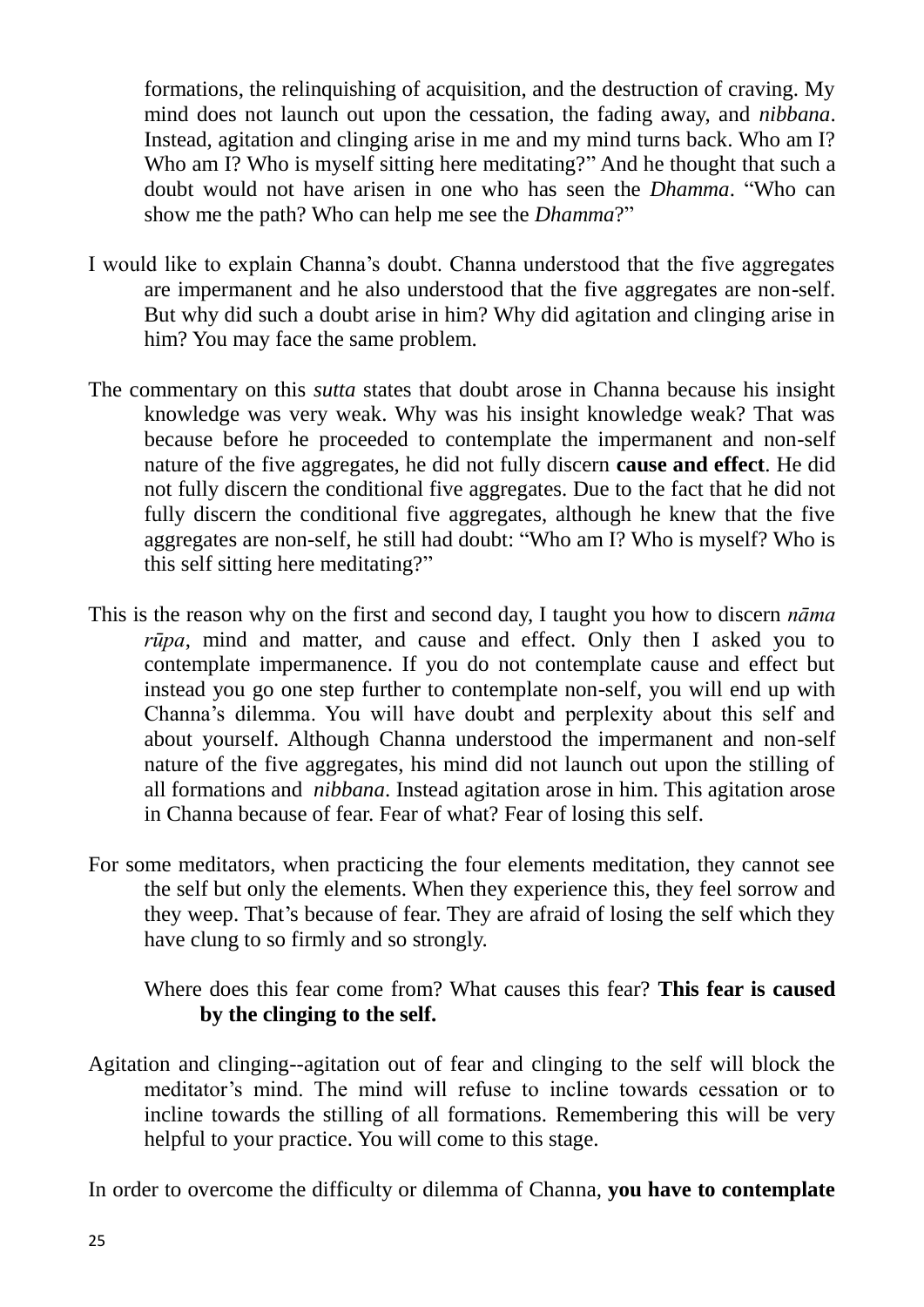formations, the relinquishing of acquisition, and the destruction of craving. My mind does not launch out upon the cessation, the fading away, and *nibbana*. Instead, agitation and clinging arise in me and my mind turns back. Who am I? Who am I? Who is myself sitting here meditating?" And he thought that such a doubt would not have arisen in one who has seen the *Dhamma*. "Who can show me the path? Who can help me see the *Dhamma*?"

- I would like to explain Channa"s doubt. Channa understood that the five aggregates are impermanent and he also understood that the five aggregates are non-self. But why did such a doubt arise in him? Why did agitation and clinging arise in him? You may face the same problem.
- The commentary on this *sutta* states that doubt arose in Channa because his insight knowledge was very weak. Why was his insight knowledge weak? That was because before he proceeded to contemplate the impermanent and non-self nature of the five aggregates, he did not fully discern **cause and effect**. He did not fully discern the conditional five aggregates. Due to the fact that he did not fully discern the conditional five aggregates, although he knew that the five aggregates are non-self, he still had doubt: "Who am I? Who is myself? Who is this self sitting here meditating?"
- This is the reason why on the first and second day, I taught you how to discern *nāma rūpa*, mind and matter, and cause and effect. Only then I asked you to contemplate impermanence. If you do not contemplate cause and effect but instead you go one step further to contemplate non-self, you will end up with Channa"s dilemma. You will have doubt and perplexity about this self and about yourself. Although Channa understood the impermanent and non-self nature of the five aggregates, his mind did not launch out upon the stilling of all formations and *nibbana*. Instead agitation arose in him. This agitation arose in Channa because of fear. Fear of what? Fear of losing this self.
- For some meditators, when practicing the four elements meditation, they cannot see the self but only the elements. When they experience this, they feel sorrow and they weep. That's because of fear. They are afraid of losing the self which they have clung to so firmly and so strongly.

Where does this fear come from? What causes this fear? **This fear is caused by the clinging to the self.** 

Agitation and clinging--agitation out of fear and clinging to the self will block the meditator's mind. The mind will refuse to incline towards cessation or to incline towards the stilling of all formations. Remembering this will be very helpful to your practice. You will come to this stage.

In order to overcome the difficulty or dilemma of Channa, **you have to contemplate**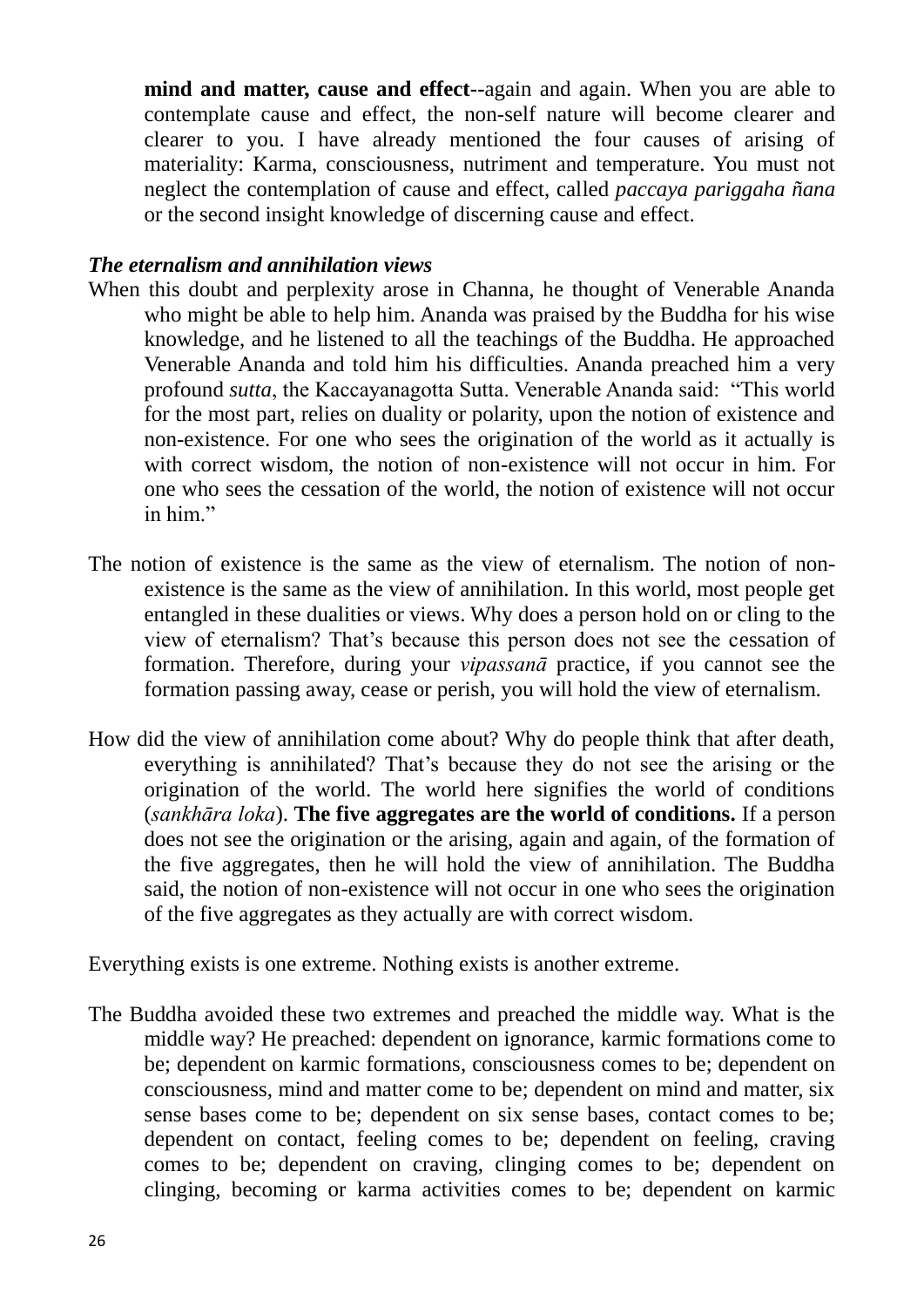**mind and matter, cause and effect--**again and again. When you are able to contemplate cause and effect, the non-self nature will become clearer and clearer to you. I have already mentioned the four causes of arising of materiality: Karma, consciousness, nutriment and temperature. You must not neglect the contemplation of cause and effect, called *paccaya pariggaha ñana* or the second insight knowledge of discerning cause and effect.

### *The eternalism and annihilation views*

- When this doubt and perplexity arose in Channa, he thought of Venerable Ananda who might be able to help him. Ananda was praised by the Buddha for his wise knowledge, and he listened to all the teachings of the Buddha. He approached Venerable Ananda and told him his difficulties. Ananda preached him a very profound *sutta*, the Kaccayanagotta Sutta. Venerable Ananda said: "This world for the most part, relies on duality or polarity, upon the notion of existence and non-existence. For one who sees the origination of the world as it actually is with correct wisdom, the notion of non-existence will not occur in him. For one who sees the cessation of the world, the notion of existence will not occur in him."
- The notion of existence is the same as the view of eternalism. The notion of nonexistence is the same as the view of annihilation. In this world, most people get entangled in these dualities or views. Why does a person hold on or cling to the view of eternalism? That"s because this person does not see the cessation of formation. Therefore, during your *vipassanā* practice, if you cannot see the formation passing away, cease or perish, you will hold the view of eternalism.
- How did the view of annihilation come about? Why do people think that after death, everything is annihilated? That"s because they do not see the arising or the origination of the world. The world here signifies the world of conditions (*sankhāra loka*). **The five aggregates are the world of conditions.** If a person does not see the origination or the arising, again and again, of the formation of the five aggregates, then he will hold the view of annihilation. The Buddha said, the notion of non-existence will not occur in one who sees the origination of the five aggregates as they actually are with correct wisdom.

Everything exists is one extreme. Nothing exists is another extreme.

The Buddha avoided these two extremes and preached the middle way. What is the middle way? He preached: dependent on ignorance, karmic formations come to be; dependent on karmic formations, consciousness comes to be; dependent on consciousness, mind and matter come to be; dependent on mind and matter, six sense bases come to be; dependent on six sense bases, contact comes to be; dependent on contact, feeling comes to be; dependent on feeling, craving comes to be; dependent on craving, clinging comes to be; dependent on clinging, becoming or karma activities comes to be; dependent on karmic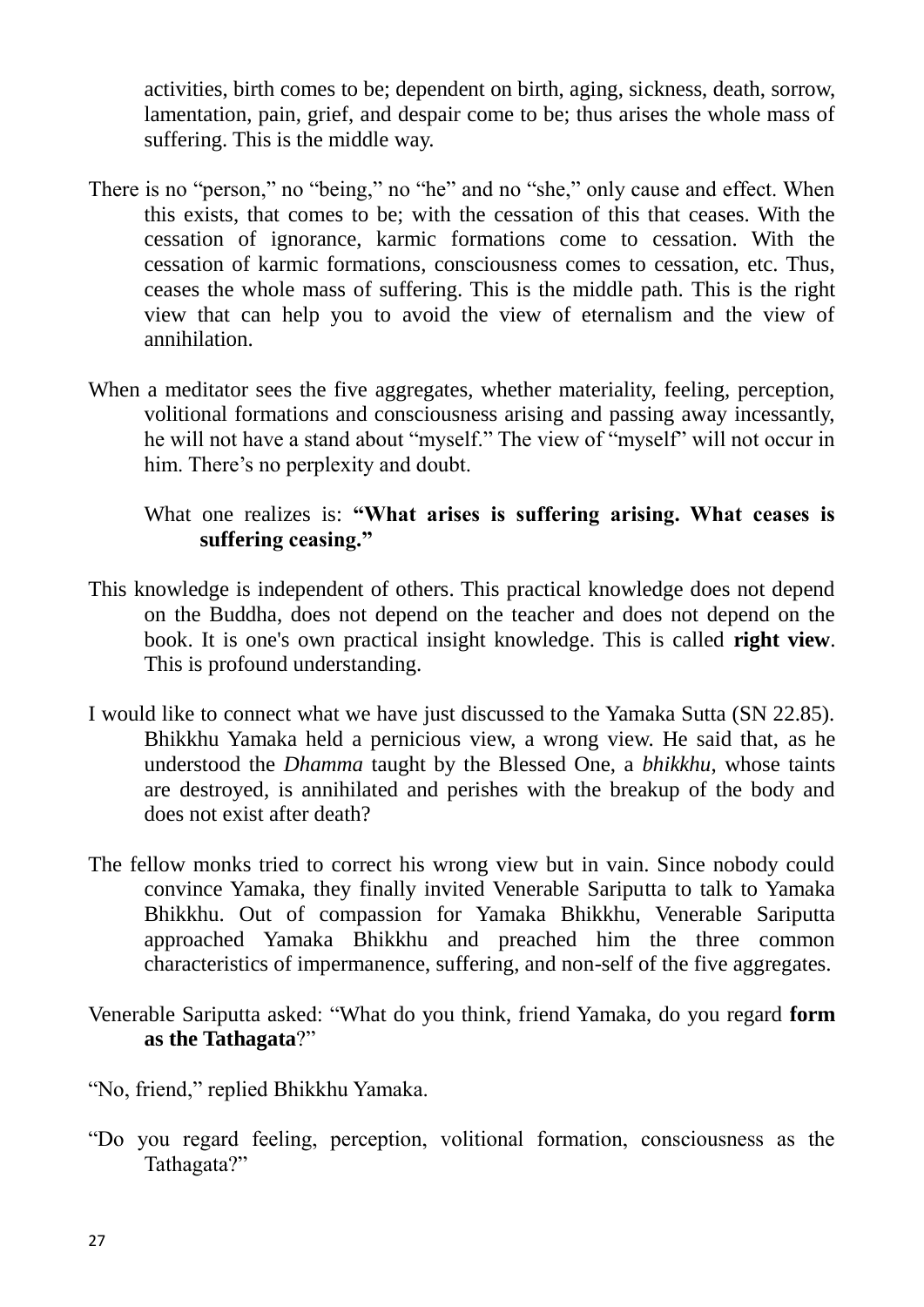activities, birth comes to be; dependent on birth, aging, sickness, death, sorrow, lamentation, pain, grief, and despair come to be; thus arises the whole mass of suffering. This is the middle way.

- There is no "person," no "being," no "he" and no "she," only cause and effect. When this exists, that comes to be; with the cessation of this that ceases. With the cessation of ignorance, karmic formations come to cessation. With the cessation of karmic formations, consciousness comes to cessation, etc. Thus, ceases the whole mass of suffering. This is the middle path. This is the right view that can help you to avoid the view of eternalism and the view of annihilation.
- When a meditator sees the five aggregates, whether materiality, feeling, perception, volitional formations and consciousness arising and passing away incessantly, he will not have a stand about "myself." The view of "myself" will not occur in him. There's no perplexity and doubt.

## What one realizes is: **"What arises is suffering arising. What ceases is suffering ceasing."**

- This knowledge is independent of others. This practical knowledge does not depend on the Buddha, does not depend on the teacher and does not depend on the book. It is one's own practical insight knowledge. This is called **right view**. This is profound understanding.
- I would like to connect what we have just discussed to the Yamaka Sutta (SN 22.85). Bhikkhu Yamaka held a pernicious view, a wrong view. He said that, as he understood the *Dhamma* taught by the Blessed One, a *bhikkhu*, whose taints are destroyed, is annihilated and perishes with the breakup of the body and does not exist after death?
- The fellow monks tried to correct his wrong view but in vain. Since nobody could convince Yamaka, they finally invited Venerable Sariputta to talk to Yamaka Bhikkhu. Out of compassion for Yamaka Bhikkhu, Venerable Sariputta approached Yamaka Bhikkhu and preached him the three common characteristics of impermanence, suffering, and non-self of the five aggregates.
- Venerable Sariputta asked: "What do you think, friend Yamaka, do you regard **form as the Tathagata**?"
- "No, friend," replied Bhikkhu Yamaka.
- "Do you regard feeling, perception, volitional formation, consciousness as the Tathagata?"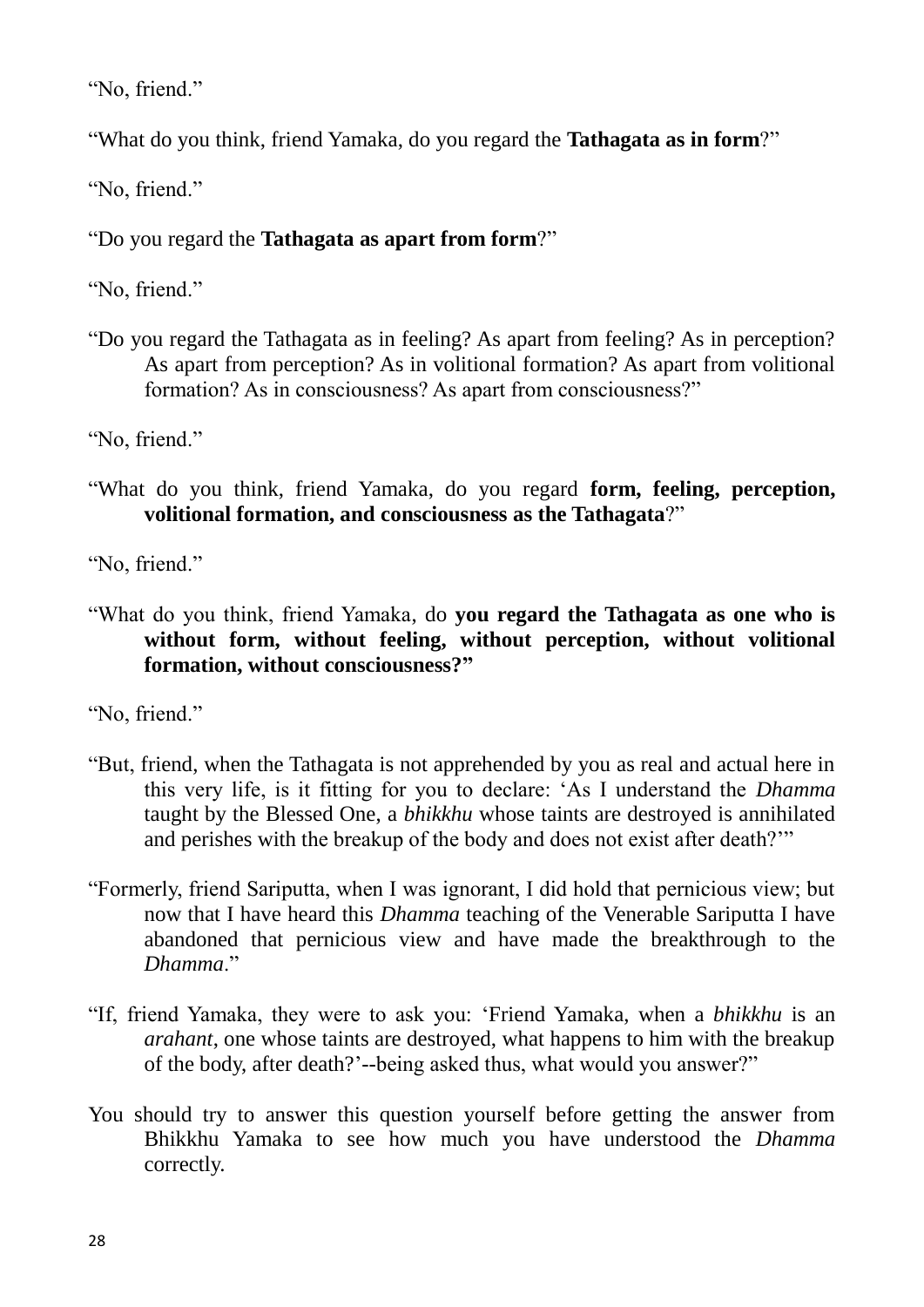"No, friend."

"What do you think, friend Yamaka, do you regard the **Tathagata as in form**?"

"No, friend."

"Do you regard the **Tathagata as apart from form**?"

"No, friend."

"Do you regard the Tathagata as in feeling? As apart from feeling? As in perception? As apart from perception? As in volitional formation? As apart from volitional formation? As in consciousness? As apart from consciousness?"

"No, friend."

"What do you think, friend Yamaka, do you regard **form, feeling, perception, volitional formation, and consciousness as the Tathagata**?"

"No, friend."

"What do you think, friend Yamaka, do **you regard the Tathagata as one who is without form, without feeling, without perception, without volitional formation, without consciousness?"**

"No, friend."

- "But, friend, when the Tathagata is not apprehended by you as real and actual here in this very life, is it fitting for you to declare: "As I understand the *Dhamma* taught by the Blessed One, a *bhikkhu* whose taints are destroyed is annihilated and perishes with the breakup of the body and does not exist after death?""
- "Formerly, friend Sariputta, when I was ignorant, I did hold that pernicious view; but now that I have heard this *Dhamma* teaching of the Venerable Sariputta I have abandoned that pernicious view and have made the breakthrough to the *Dhamma*."
- "If, friend Yamaka, they were to ask you: "Friend Yamaka, when a *bhikkhu* is an *arahant*, one whose taints are destroyed, what happens to him with the breakup of the body, after death?"--being asked thus, what would you answer?"
- You should try to answer this question yourself before getting the answer from Bhikkhu Yamaka to see how much you have understood the *Dhamma* correctly.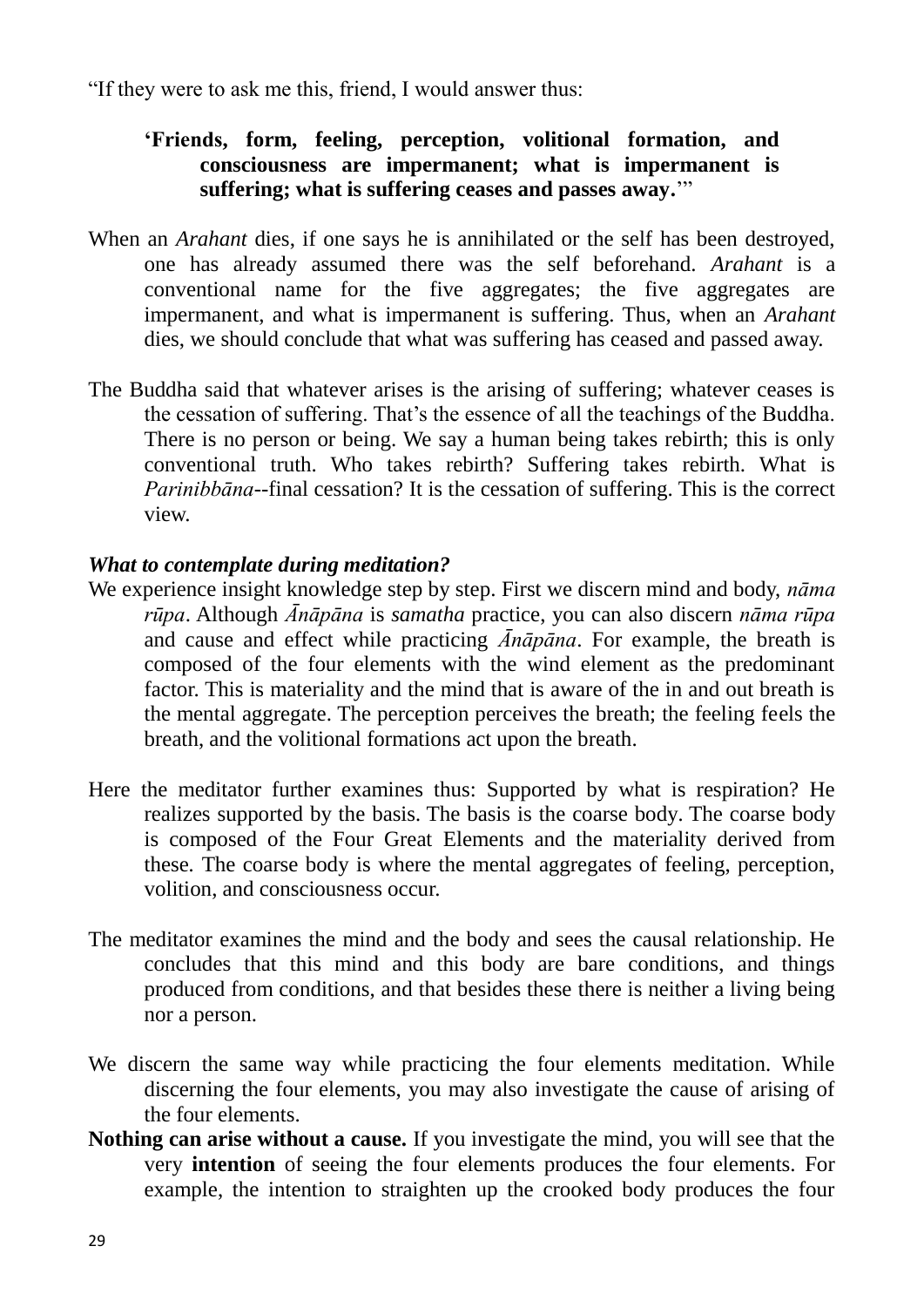"If they were to ask me this, friend, I would answer thus:

## **"Friends, form, feeling, perception, volitional formation, and consciousness are impermanent; what is impermanent is suffering; what is suffering ceases and passes away.**""

- When an *Arahant* dies, if one says he is annihilated or the self has been destroyed, one has already assumed there was the self beforehand. *Arahant* is a conventional name for the five aggregates; the five aggregates are impermanent, and what is impermanent is suffering. Thus, when an *Arahant* dies, we should conclude that what was suffering has ceased and passed away.
- The Buddha said that whatever arises is the arising of suffering; whatever ceases is the cessation of suffering. That's the essence of all the teachings of the Buddha. There is no person or being. We say a human being takes rebirth; this is only conventional truth. Who takes rebirth? Suffering takes rebirth. What is *Parinibbāna*--final cessation? It is the cessation of suffering. This is the correct view.

## *What to contemplate during meditation?*

- We experience insight knowledge step by step. First we discern mind and body, *nāma rūpa*. Although *Ānāpāna* is *samatha* practice, you can also discern *nāma rūpa* and cause and effect while practicing *Ānāpāna*. For example, the breath is composed of the four elements with the wind element as the predominant factor. This is materiality and the mind that is aware of the in and out breath is the mental aggregate. The perception perceives the breath; the feeling feels the breath, and the volitional formations act upon the breath.
- Here the meditator further examines thus: Supported by what is respiration? He realizes supported by the basis*.* The basis is the coarse body*.* The coarse body is composed of the Four Great Elements and the materiality derived from these*.* The coarse body is where the mental aggregates of feeling, perception, volition, and consciousness occur.
- The meditator examines the mind and the body and sees the causal relationship. He concludes that this mind and this body are bare conditions, and things produced from conditions, and that besides these there is neither a living being nor a person.
- We discern the same way while practicing the four elements meditation. While discerning the four elements, you may also investigate the cause of arising of the four elements.
- **Nothing can arise without a cause.** If you investigate the mind, you will see that the very **intention** of seeing the four elements produces the four elements. For example, the intention to straighten up the crooked body produces the four